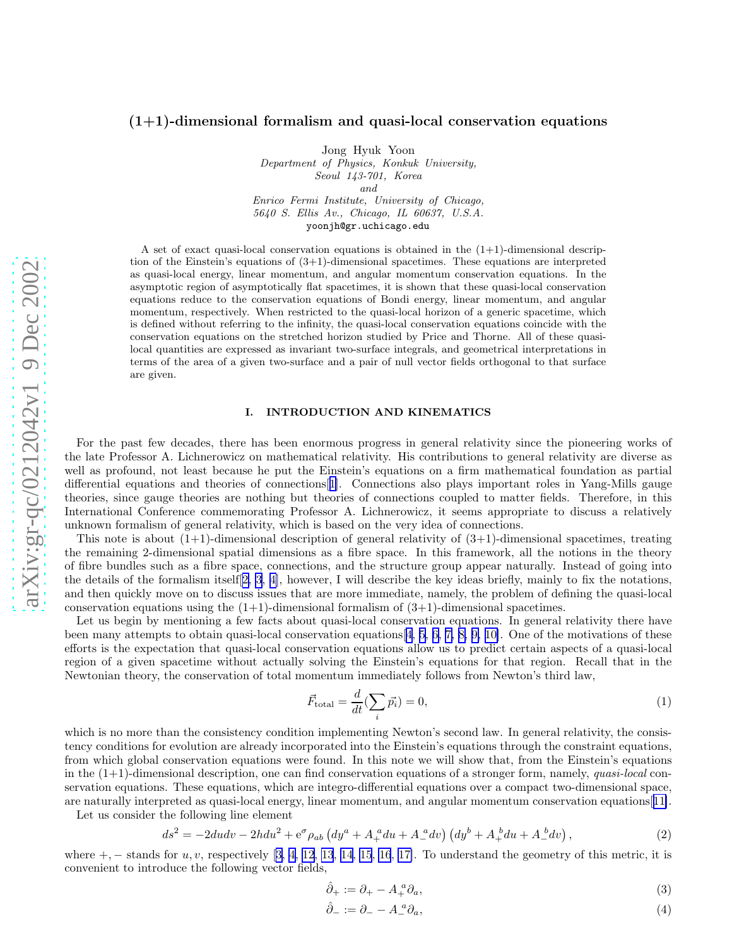# <span id="page-0-0"></span> $(1+1)$ -dimensional formalism and quasi-local conservation equations

Jong Hyuk Yoon

Department of Physics, Konkuk University, Seoul 143-701, Korea and Enrico Fermi Institute, University of Chicago, 5640 S. Ellis Av., Chicago, IL 60637, U.S.A. yoonjh@gr.uchicago.edu

A set of exact quasi-local conservation equations is obtained in the  $(1+1)$ -dimensional description of the Einstein's equations of  $(3+1)$ -dimensional spacetimes. These equations are interpreted as quasi-local energy, linear momentum, and angular momentum conservation equations. In the asymptotic region of asymptotically flat spacetimes, it is shown that these quasi-local conservation equations reduce to the conservation equations of Bondi energy, linear momentum, and angular momentum, respectively. When restricted to the quasi-local horizon of a generic spacetime, which is defined without referring to the infinity, the quasi-local conservation equations coincide with the conservation equations on the stretched horizon studied by Price and Thorne. All of these quasilocal quantities are expressed as invariant two-surface integrals, and geometrical interpretations in terms of the area of a given two-surface and a pair of null vector fields orthogonal to that surface are given.

### I. INTRODUCTION AND KINEMATICS

For the past few decades, there has been enormous progress in general relativity since the pioneering works of the late Professor A. Lichnerowicz on mathematical relativity. His contributions to general relativity are diverse as well as profound, not least because he put the Einstein's equations on a firm mathematical foundation as partial differential equations and theories of connections[[1\]](#page-18-0). Connections also plays important roles in Yang-Mills gauge theories, since gauge theories are nothing but theories of connections coupled to matter fields. Therefore, in this International Conference commemorating Professor A. Lichnerowicz, it seems appropriate to discuss a relatively unknown formalism of general relativity, which is based on the very idea of connections.

This note is about  $(1+1)$ -dimensional description of general relativity of  $(3+1)$ -dimensional spacetimes, treating the remaining 2-dimensional spatial dimensions as a fibre space. In this framework, all the notions in the theory of fibre bundles such as a fibre space, connections, and the structure group appear naturally. Instead of going into the details of the formalism itself[[2, 3](#page-18-0), [4\]](#page-18-0), however, I will describe the key ideas briefly, mainly to fix the notations, and then quickly move on to discuss issues that are more immediate, namely, the problem of defining the quasi-local conservation equations using the  $(1+1)$ -dimensional formalism of  $(3+1)$ -dimensional spacetimes.

Let us begin by mentioning a few facts about quasi-local conservation equations. In general relativity there have been many attempts to obtain quasi-local conservation equations[[4, 5, 6, 7, 8, 9, 10\]](#page-18-0). One of the motivations of these efforts is the expectation that quasi-local conservation equations allow us to predict certain aspects of a quasi-local region of a given spacetime without actually solving the Einstein's equations for that region. Recall that in the Newtonian theory, the conservation of total momentum immediately follows from Newton's third law,

$$
\vec{F}_{\text{total}} = \frac{d}{dt} (\sum_{i} \vec{p_i}) = 0,\tag{1}
$$

which is no more than the consistency condition implementing Newton's second law. In general relativity, the consistency conditions for evolution are already incorporated into the Einstein's equations through the constraint equations, from which global conservation equations were found. In this note we will show that, from the Einstein's equations in the  $(1+1)$ -dimensional description, one can find conservation equations of a stronger form, namely, quasi-local conservation equations. These equations, which are integro-differential equations over a compact two-dimensional space, are naturally interpreted as quasi-local energy, linear momentum, and angular momentum conservation equations[[11\]](#page-18-0).

Let us consider the following line element

$$
ds^{2} = -2dudv - 2hdu^{2} + e^{\sigma}\rho_{ab} \left( dy^{a} + A_{+}^{a}du + A_{-}^{a}dv \right) \left( dy^{b} + A_{+}^{b}du + A_{-}^{b}dv \right), \qquad (2)
$$

where $+$ ,  $-$  stands for  $u, v$ , respectively [[3, 4](#page-18-0), [12](#page-18-0), [13](#page-18-0), [14](#page-18-0), [15](#page-18-0), [16](#page-18-0), [17\]](#page-18-0). To understand the geometry of this metric, it is convenient to introduce the following vector fields,

$$
\hat{\partial}_+ := \partial_+ - A_+^a \partial_a,\tag{3}
$$

$$
\hat{\partial}_- := \partial_- - A_-^a \partial_a,\tag{4}
$$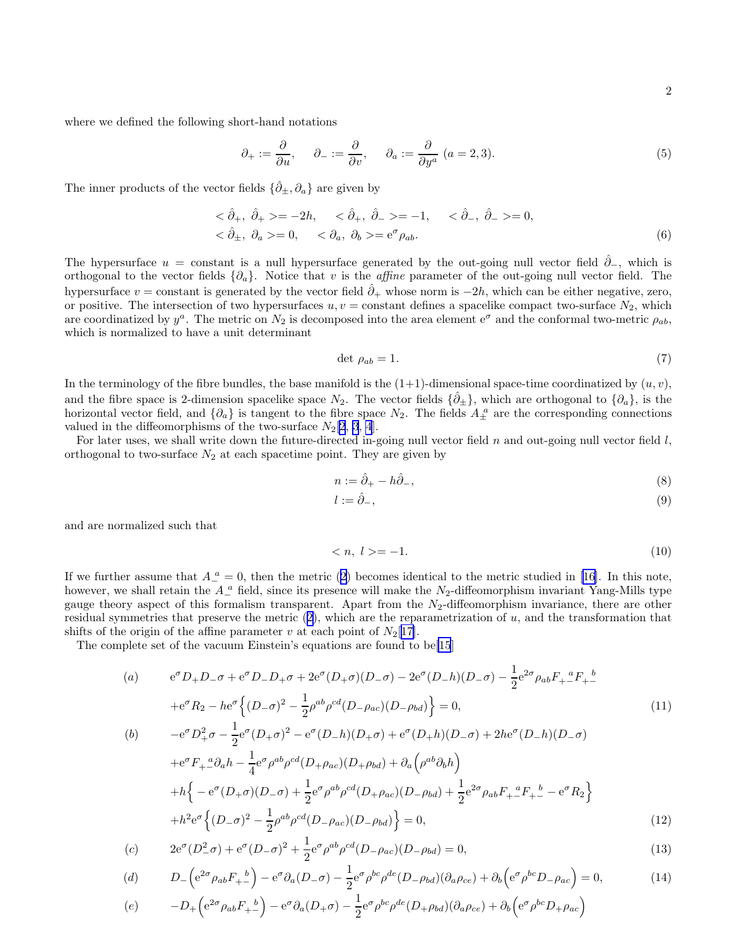<span id="page-1-0"></span>where we defined the following short-hand notations

$$
\partial_+ := \frac{\partial}{\partial u}, \qquad \partial_- := \frac{\partial}{\partial v}, \qquad \partial_a := \frac{\partial}{\partial y^a} \ (a = 2, 3). \tag{5}
$$

The inner products of the vector fields  $\{\hat{\partial}_{\pm}, \partial_a\}$  are given by

$$
<\hat{\partial}_{+}
$$
,  $\hat{\partial}_{+}>=-2h$ ,  $<\hat{\partial}_{+}$ ,  $\hat{\partial}_{-}>=-1$ ,  $<\hat{\partial}_{-}$ ,  $\hat{\partial}_{-}>=0$ ,  
 $<\hat{\partial}_{\pm}$ ,  $\partial_{a}>=0$ ,  $<\partial_{a}$ ,  $\partial_{b}>=e^{\sigma} \rho_{ab}$ . (6)

The hypersurface  $u = constant$  is a null hypersurface generated by the out-going null vector field  $\hat{\partial}_{-}$ , which is orthogonal to the vector fields  $\{\partial_a\}$ . Notice that v is the *affine* parameter of the out-going null vector field. The hypersurface  $v =$  constant is generated by the vector field  $\hat{\partial}_+$  whose norm is  $-2h$ , which can be either negative, zero, or positive. The intersection of two hypersurfaces  $u, v = constant$  defines a spacelike compact two-surface  $N_2$ , which are coordinatized by  $y^a$ . The metric on  $N_2$  is decomposed into the area element  $e^{\sigma}$  and the conformal two-metric  $\rho_{ab}$ , which is normalized to have a unit determinant

$$
\det \rho_{ab} = 1. \tag{7}
$$

In the terminology of the fibre bundles, the base manifold is the  $(1+1)$ -dimensional space-time coordinatized by  $(u, v)$ , and the fibre space is 2-dimension spacelike space  $N_2$ . The vector fields  $\{\hat{\partial}_\pm\}$ , which are orthogonal to  $\{\partial_a\}$ , is the horizontal vector field, and  $\{\partial_a\}$  is tangent to the fibre space  $N_2$ . The fields  $A_{\pm}^{\ a}$  are the corresponding connections valued in the diffeomorphisms of the two-surface  $N_2[2, 3, 4]$  $N_2[2, 3, 4]$  $N_2[2, 3, 4]$  $N_2[2, 3, 4]$  $N_2[2, 3, 4]$  $N_2[2, 3, 4]$  $N_2[2, 3, 4]$ .

For later uses, we shall write down the future-directed in-going null vector field  $n$  and out-going null vector field  $l$ , orthogonal to two-surface  $N_2$  at each spacetime point. They are given by

$$
n := \hat{\partial}_+ - h\hat{\partial}_-, \tag{8}
$$

$$
l := \hat{\partial}_{-},\tag{9}
$$

and are normalized such that

$$
\langle n, l \rangle = -1. \tag{10}
$$

Ifwe further assume that  $A_{-}^{\ a}=0$ , then the metric ([2\)](#page-0-0) becomes identical to the metric studied in [[16\]](#page-18-0). In this note, however, we shall retain the  $A_{-}^{\ a}$  field, since its presence will make the  $N_2$ -diffeomorphism invariant Yang-Mills type gauge theory aspect of this formalism transparent. Apart from the  $N_2$ -diffeomorphism invariance, there are other residualsymmetries that preserve the metric  $(2)$  $(2)$ , which are the reparametrization of u, and the transformation that shifts of the origin of the affine parameter v at each point of  $N_2[17]$  $N_2[17]$ .

The complete set of the vacuum Einstein's equations are found to be[\[15](#page-18-0)]

(a) 
$$
e^{\sigma}D_{+}D_{-}\sigma + e^{\sigma}D_{-}D_{+}\sigma + 2e^{\sigma}(D_{+}\sigma)(D_{-}\sigma) - 2e^{\sigma}(D_{-}h)(D_{-}\sigma) - \frac{1}{2}e^{2\sigma}\rho_{ab}F_{+}{}^{a}F_{+}{}^{b}
$$
  
\n $+e^{\sigma}R_{2} - he^{\sigma}\Big{(D_{-}\sigma)^{2} - \frac{1}{2}\rho^{ab}\rho^{cd}(D_{-}\rho_{ac})(D_{-}\rho_{bd})\Big} = 0,$   
\n(b)  $-e^{\sigma}D_{+}^{2}\sigma - \frac{1}{2}e^{\sigma}(D_{+}\sigma)^{2} - e^{\sigma}(D_{-}h)(D_{+}\sigma) + e^{\sigma}(D_{+}h)(D_{-}\sigma) + 2he^{\sigma}(D_{-}h)(D_{-}\sigma)$  (11)

$$
+e^{\sigma}F_{+}{}^a_{-}\partial_{a}h - \frac{1}{4}e^{\sigma}\rho^{ab}\rho^{cd}(D_{+}\rho_{ac})(D_{+}\rho_{bd}) + \partial_{a}\left(\rho^{ab}\partial_{b}h\right) +h\left\{-e^{\sigma}(D_{+}\sigma)(D_{-}\sigma) + \frac{1}{2}e^{\sigma}\rho^{ab}\rho^{cd}(D_{+}\rho_{ac})(D_{-}\rho_{bd}) + \frac{1}{2}e^{2\sigma}\rho_{ab}F_{+}{}^aF_{+}{}^b - e^{\sigma}R_{2}\right\} +h^{2}e^{\sigma}\left\{(D_{-}\sigma)^{2} - \frac{1}{2}\rho^{ab}\rho^{cd}(D_{-}\rho_{ac})(D_{-}\rho_{bd})\right\} = 0,
$$
\n(12)

(c) 
$$
2e^{\sigma}(D_{-}^{2}\sigma) + e^{\sigma}(D_{-}\sigma)^{2} + \frac{1}{2}e^{\sigma}\rho^{ab}\rho^{cd}(D_{-}\rho_{ac})(D_{-}\rho_{bd}) = 0,
$$
 (13)

(d) 
$$
D_{-}\left(e^{2\sigma}\rho_{ab}F_{+-}\right) - e^{\sigma}\partial_a(D_{-}\sigma) - \frac{1}{2}e^{\sigma}\rho^{bc}\rho^{de}(D_{-}\rho_{bd})(\partial_a\rho_{ce}) + \partial_b\left(e^{\sigma}\rho^{bc}D_{-}\rho_{ac}\right) = 0,
$$
 (14)

$$
(e) \qquad -D_{+}\left(e^{2\sigma}\rho_{ab}F_{+-}\right)-e^{\sigma}\partial_{a}(D_{+}\sigma)-\frac{1}{2}e^{\sigma}\rho^{bc}\rho^{de}(D_{+}\rho_{bd})(\partial_{a}\rho_{ce})+\partial_{b}\left(e^{\sigma}\rho^{bc}D_{+}\rho_{ac}\right)
$$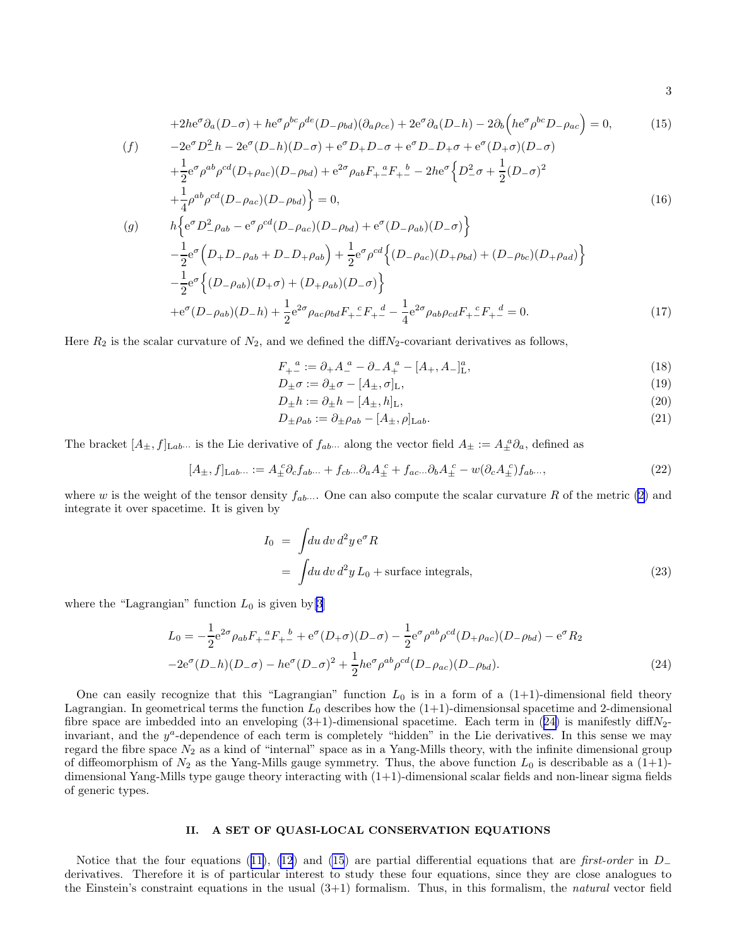$$
+2he^{\sigma}\partial_{a}(D_{-\sigma})+he^{\sigma}\rho^{bc}\rho^{de}(D_{-\rho bd})(\partial_{a}\rho_{ce})+2e^{\sigma}\partial_{a}(D_{-}h)-2\partial_{b}(he^{\sigma}\rho^{bc}D_{-\rho_{ac}})=0,
$$
\n(f)\n
$$
-2e^{\sigma}D_{-}^{2}h-2e^{\sigma}(D_{-}h)(D_{-\sigma})+e^{\sigma}D_{+}D_{-\sigma}+e^{\sigma}D_{-}D_{+\sigma}+e^{\sigma}(D_{+\sigma})(D_{-\sigma})
$$
\n
$$
+\frac{1}{2}e^{\sigma}\rho^{ab}\rho^{cd}(D_{+\rho_{ac}})(D_{-\rho_{bd}})+e^{2\sigma}\rho_{ab}F_{+}^{a}F_{+}^{b}-2he^{\sigma}\left\{D_{-}^{2}\sigma+\frac{1}{2}(D_{-\sigma})^{2}\right.\n+
$$
+\frac{1}{4}\rho^{ab}\rho^{cd}(D_{-\rho_{ac}})(D_{-\rho_{bd}})\right\}=0,
$$
\n(g)\n
$$
h\left\{e^{\sigma}D_{-}^{2}\rho_{ab}-e^{\sigma}\rho^{cd}(D_{-\rho_{ac}})(D_{-\rho_{bd}})+e^{\sigma}(D_{-\rho_{ab}})(D_{-\sigma})\right\}
$$
\n
$$
-\frac{1}{2}e^{\sigma}\left(D_{+}D_{-\rho_{ab}}+D_{-}D_{+\rho_{ab}}\right)+\frac{1}{2}e^{\sigma}\rho^{cd}\left\{(D_{-\rho_{ac}})(D_{+\rho_{bd}})+(D_{-\rho_{bc}})(D_{+\rho_{ad}})\right\}
$$
\n
$$
-\frac{1}{2}e^{\sigma}\left\{(D_{-\rho_{ab}})(D_{+\sigma})+(D_{+\rho_{ab}})(D_{-\sigma})\right\}
$$
\n
$$
+e^{\sigma}(D_{-\rho_{ab}})(D_{-}h)+\frac{1}{2}e^{2\sigma}\rho_{ac}\rho_{bd}F_{+}^{c}F_{+}^{d}-\frac{1}{4}e^{2\sigma}\rho_{ab}\rho_{cd}F_{+}^{c}F_{+}^{d}=0.
$$
\n(17)
$$

Here  $R_2$  is the scalar curvature of  $N_2$ , and we defined the diff $N_2$ -covariant derivatives as follows,

$$
F_{+-}^{\ a} := \partial_{+}A_{-}^{\ a} - \partial_{-}A_{+}^{\ a} - [A_{+}, A_{-}]_{\mathrm{L}}^{a},\tag{18}
$$

$$
D_{\pm}\sigma := \partial_{\pm}\sigma - [A_{\pm}, \sigma]_{\mathrm{L}},\tag{19}
$$

$$
D_{\pm}h := \partial_{\pm}h - [A_{\pm}, h]_{\mathrm{L}},\tag{20}
$$

$$
D_{\pm}\rho_{ab} := \partial_{\pm}\rho_{ab} - [A_{\pm}, \rho]_{\text{Lab}}.\tag{21}
$$

The bracket  $[A_\pm, f]_{\text{Lab}}$  is the Lie derivative of  $f_{ab}$ . along the vector field  $A_\pm := A_\pm^a \partial_a$ , defined as

$$
[A_{\pm}, f]_{\text{L}ab\cdots} := A_{\pm}^c \partial_c f_{ab\cdots} + f_{cb\cdots} \partial_a A_{\pm}^c + f_{ac\cdots} \partial_b A_{\pm}^c - w(\partial_c A_{\pm}^c) f_{ab\cdots}, \tag{22}
$$

where w is the weight of the tensor density  $f_{ab}$ .... One can also compute the scalar curvature R of the metric [\(2](#page-0-0)) and integrate it over spacetime. It is given by

$$
I_0 = \int du \, dv \, d^2 y \, e^{\sigma} R
$$
  
= 
$$
\int du \, dv \, d^2 y \, L_0 + \text{surface integrals},
$$
 (23)

where the "Lagrangian" function  $L_0$  is given by [\[3\]](#page-18-0)

$$
L_0 = -\frac{1}{2} e^{2\sigma} \rho_{ab} F_{+}{}^a F_{+}{}^b + e^{\sigma} (D_+\sigma) (D_-\sigma) - \frac{1}{2} e^{\sigma} \rho^{ab} \rho^{cd} (D_+\rho_{ac}) (D_-\rho_{bd}) - e^{\sigma} R_2
$$
  

$$
-2e^{\sigma} (D_-h) (D_-\sigma) - h e^{\sigma} (D_-\sigma)^2 + \frac{1}{2} h e^{\sigma} \rho^{ab} \rho^{cd} (D_-\rho_{ac}) (D_-\rho_{bd}).
$$
 (24)

One can easily recognize that this "Lagrangian" function  $L_0$  is in a form of a  $(1+1)$ -dimensional field theory Lagrangian. In geometrical terms the function  $L_0$  describes how the  $(1+1)$ -dimensionsal spacetime and 2-dimensional fibre space are imbedded into an enveloping  $(3+1)$ -dimensional spacetime. Each term in  $(24)$  is manifestly diff $N_2$ invariant, and the  $y^a$ -dependence of each term is completely "hidden" in the Lie derivatives. In this sense we may regard the fibre space  $N_2$  as a kind of "internal" space as in a Yang-Mills theory, with the infinite dimensional group of diffeomorphism of  $N_2$  as the Yang-Mills gauge symmetry. Thus, the above function  $L_0$  is describable as a  $(1+1)$ dimensional Yang-Mills type gauge theory interacting with (1+1)-dimensional scalar fields and non-linear sigma fields of generic types.

## II. A SET OF QUASI-LOCAL CONSERVATION EQUATIONS

Noticethat the four equations ([11\)](#page-1-0), [\(12](#page-1-0)) and [\(15](#page-1-0)) are partial differential equations that are first-order in  $D_-\$ derivatives. Therefore it is of particular interest to study these four equations, since they are close analogues to the Einstein's constraint equations in the usual  $(3+1)$  formalism. Thus, in this formalism, the *natural* vector field

3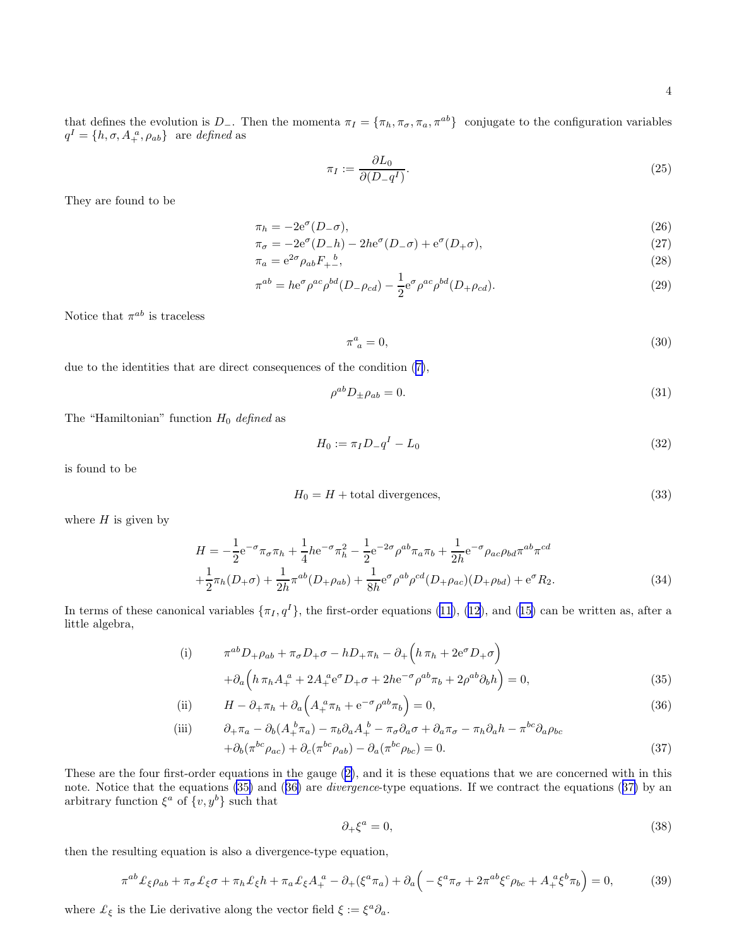<span id="page-3-0"></span>that defines the evolution is D<sub>−</sub>. Then the momenta  $\pi_I = {\pi_h, \pi_\sigma, \pi_a, \pi^{ab}}$  conjugate to the configuration variables  $q^I = \{h, \sigma, A_+^{\ a}, \rho_{ab}\}$  are defined as

$$
\pi_I := \frac{\partial L_0}{\partial (D - q^I)}.
$$
\n(25)

They are found to be

$$
\pi_h = -2e^{\sigma}(D_{-\sigma}),\tag{26}
$$

$$
\pi_{\sigma} = -2e^{\sigma}(D_{-}h) - 2he^{\sigma}(D_{-}\sigma) + e^{\sigma}(D_{+}\sigma), \qquad (27)
$$

$$
\pi_a = e^{2\sigma} \rho_{ab} F_{+-}^{\quad b},\tag{28}
$$

$$
\pi^{ab} = h e^{\sigma} \rho^{ac} \rho^{bd} (D - \rho_{cd}) - \frac{1}{2} e^{\sigma} \rho^{ac} \rho^{bd} (D + \rho_{cd}). \tag{29}
$$

Notice that  $\pi^{ab}$  is traceless

$$
\pi^a_{\ a} = 0,\tag{30}
$$

due to the identities that are direct consequences of the condition ([7\)](#page-1-0),

$$
\rho^{ab} D_{\pm} \rho_{ab} = 0. \tag{31}
$$

The "Hamiltonian" function  $H_0$  defined as

$$
H_0 := \pi_I D_- q^I - L_0 \tag{32}
$$

is found to be

$$
H_0 = H + \text{total divergences},\tag{33}
$$

where  $H$  is given by

$$
H = -\frac{1}{2}e^{-\sigma}\pi_{\sigma}\pi_{h} + \frac{1}{4}he^{-\sigma}\pi_{h}^{2} - \frac{1}{2}e^{-2\sigma}\rho^{ab}\pi_{a}\pi_{b} + \frac{1}{2h}e^{-\sigma}\rho_{ac}\rho_{bd}\pi^{ab}\pi^{cd}
$$
  
 
$$
+\frac{1}{2}\pi_{h}(D_{+}\sigma) + \frac{1}{2h}\pi^{ab}(D_{+}\rho_{ab}) + \frac{1}{8h}e^{\sigma}\rho^{ab}\rho^{cd}(D_{+}\rho_{ac})(D_{+}\rho_{bd}) + e^{\sigma}R_{2}.
$$
 (34)

Interms of these canonical variables  $\{\pi_I, q^I\}$ , the first-order equations [\(11](#page-1-0)), ([12\)](#page-1-0), and ([15\)](#page-1-0) can be written as, after a little algebra,

(i) 
$$
\pi^{ab} D_{+} \rho_{ab} + \pi_{\sigma} D_{+} \sigma - h D_{+} \pi_{h} - \partial_{+} \left( h \pi_{h} + 2 e^{\sigma} D_{+} \sigma \right) + \partial_{a} \left( h \pi_{h} A_{+}^{a} + 2 A_{+}^{a} e^{\sigma} D_{+} \sigma + 2 h e^{-\sigma} \rho^{ab} \pi_{b} + 2 \rho^{ab} \partial_{b} h \right) = 0,
$$
 (35)

(ii) 
$$
H - \partial_+ \pi_h + \partial_a \left( A_+^a \pi_h + e^{-\sigma} \rho^{ab} \pi_b \right) = 0, \qquad (36)
$$

(iii) 
$$
\partial_{+}\pi_{a} - \partial_{b}(A_{+}^{b}\pi_{a}) - \pi_{b}\partial_{a}A_{+}^{b} - \pi_{\sigma}\partial_{a}\sigma + \partial_{a}\pi_{\sigma} - \pi_{h}\partial_{a}h - \pi^{bc}\partial_{a}\rho_{bc} \n+ \partial_{b}(\pi^{bc}\rho_{ac}) + \partial_{c}(\pi^{bc}\rho_{ab}) - \partial_{a}(\pi^{bc}\rho_{bc}) = 0.
$$
\n(37)

These are the four first-order equations in the gauge([2\)](#page-0-0), and it is these equations that we are concerned with in this note. Notice that the equations (35) and (36) are *divergence*-type equations. If we contract the equations (37) by an arbitrary function  $\xi^a$  of  $\{v, y^b\}$  such that

$$
\partial_+\xi^a = 0,\tag{38}
$$

then the resulting equation is also a divergence-type equation,

$$
\pi^{ab}\mathcal{L}_{\xi}\rho_{ab} + \pi_{\sigma}\mathcal{L}_{\xi}\sigma + \pi_{h}\mathcal{L}_{\xi}h + \pi_{a}\mathcal{L}_{\xi}A_{+}^{a} - \partial_{+}(\xi^{a}\pi_{a}) + \partial_{a}\left(-\xi^{a}\pi_{\sigma} + 2\pi^{ab}\xi^{c}\rho_{bc} + A_{+}^{a}\xi^{b}\pi_{b}\right) = 0,
$$
\n(39)

where  $\mathcal{L}_{\xi}$  is the Lie derivative along the vector field  $\xi := \xi^a \partial_a$ .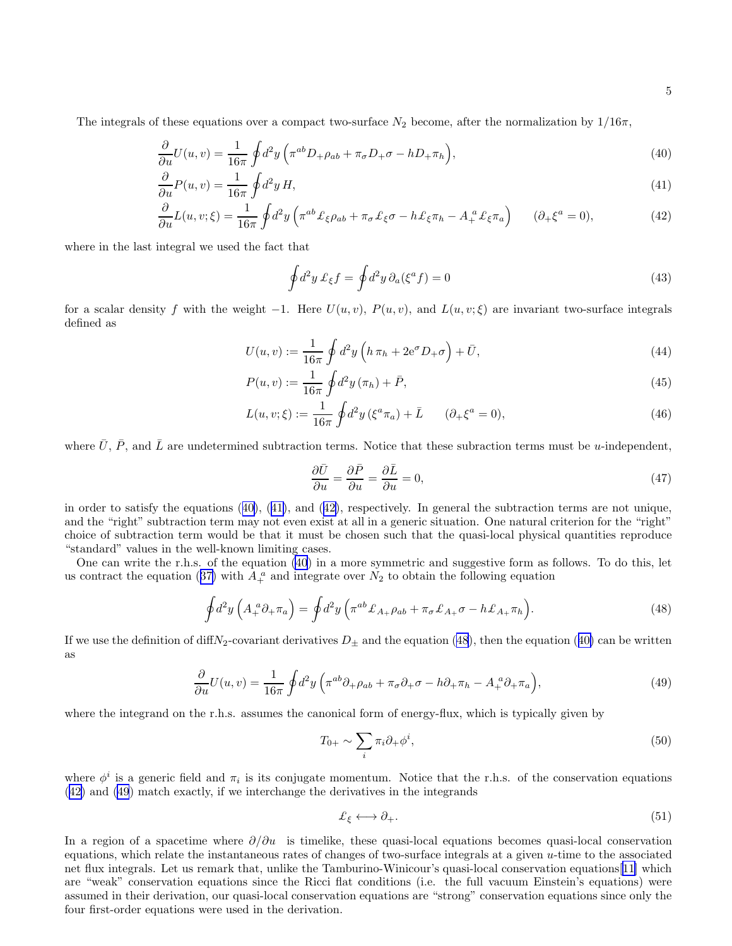<span id="page-4-0"></span>The integrals of these equations over a compact two-surface  $N_2$  become, after the normalization by  $1/16\pi$ ,

$$
\frac{\partial}{\partial u}U(u,v) = \frac{1}{16\pi} \oint d^2y \left(\pi^{ab} D_+\rho_{ab} + \pi_\sigma D_+\sigma - hD_+\pi_h\right),\tag{40}
$$

$$
\frac{\partial}{\partial u}P(u,v) = \frac{1}{16\pi} \oint d^2y H,\tag{41}
$$

$$
\frac{\partial}{\partial u}L(u,v;\xi) = \frac{1}{16\pi} \oint d^2y \left( \pi^{ab} \mathcal{L}_{\xi}\rho_{ab} + \pi_{\sigma}\mathcal{L}_{\xi}\sigma - h\mathcal{L}_{\xi}\pi_h - A_+^a \mathcal{L}_{\xi}\pi_a \right) \qquad (\partial_+ \xi^a = 0),\tag{42}
$$

where in the last integral we used the fact that

$$
\oint d^2y \,\mathcal{L}_{\xi}f = \oint d^2y \,\partial_a(\xi^a f) = 0\tag{43}
$$

for a scalar density f with the weight  $-1$ . Here  $U(u, v)$ ,  $P(u, v)$ , and  $L(u, v; \xi)$  are invariant two-surface integrals defined as

$$
U(u,v) := \frac{1}{16\pi} \oint d^2y \left( h \,\pi_h + 2e^{\sigma} D_+\sigma \right) + \bar{U},\tag{44}
$$

$$
P(u, v) := \frac{1}{16\pi} \oint d^2y (\pi_h) + \bar{P}, \tag{45}
$$

$$
L(u, v; \xi) := \frac{1}{16\pi} \oint d^2 y \left(\xi^a \pi_a\right) + \bar{L} \qquad (\partial_+ \xi^a = 0), \tag{46}
$$

where  $\bar{U}$ ,  $\bar{P}$ , and  $\bar{L}$  are undetermined subtraction terms. Notice that these subraction terms must be *u*-independent,

$$
\frac{\partial \bar{U}}{\partial u} = \frac{\partial \bar{P}}{\partial u} = \frac{\partial \bar{L}}{\partial u} = 0,\tag{47}
$$

in order to satisfy the equations (40), (41), and (42), respectively. In general the subtraction terms are not unique, and the "right" subtraction term may not even exist at all in a generic situation. One natural criterion for the "right" choice of subtraction term would be that it must be chosen such that the quasi-local physical quantities reproduce "standard" values in the well-known limiting cases.

One can write the r.h.s. of the equation (40) in a more symmetric and suggestive form as follows. To do this, let uscontract the equation ([37\)](#page-3-0) with  $A_+^a$  and integrate over  $N_2$  to obtain the following equation

$$
\oint d^2y \left( A_+^a \partial_+ \pi_a \right) = \oint d^2y \left( \pi^{ab} \mathcal{L}_{A_+} \rho_{ab} + \pi_\sigma \mathcal{L}_{A_+} \sigma - h \mathcal{L}_{A_+} \pi_h \right). \tag{48}
$$

If we use the definition of diffN<sub>2</sub>-covariant derivatives  $D_{\pm}$  and the equation (48), then the equation (40) can be written as

$$
\frac{\partial}{\partial u}U(u,v) = \frac{1}{16\pi} \oint d^2y \left( \pi^{ab}\partial_+\rho_{ab} + \pi_\sigma \partial_+\sigma - h\partial_+\pi_h - A_+^{\ a}\partial_+\pi_a \right),\tag{49}
$$

where the integrand on the r.h.s. assumes the canonical form of energy-flux, which is typically given by

$$
T_{0+} \sim \sum_{i} \pi_i \partial_+ \phi^i,\tag{50}
$$

where  $\phi^i$  is a generic field and  $\pi_i$  is its conjugate momentum. Notice that the r.h.s. of the conservation equations (42) and (49) match exactly, if we interchange the derivatives in the integrands

$$
\pounds_{\xi} \longleftrightarrow \partial_{+}.\tag{51}
$$

In a region of a spacetime where  $\partial/\partial u$  is timelike, these quasi-local equations becomes quasi-local conservation equations, which relate the instantaneous rates of changes of two-surface integrals at a given u-time to the associated net flux integrals. Let us remark that, unlike the Tamburino-Winicour's quasi-local conservation equations[\[11\]](#page-18-0) which are "weak" conservation equations since the Ricci flat conditions (i.e. the full vacuum Einstein's equations) were assumed in their derivation, our quasi-local conservation equations are "strong" conservation equations since only the four first-order equations were used in the derivation.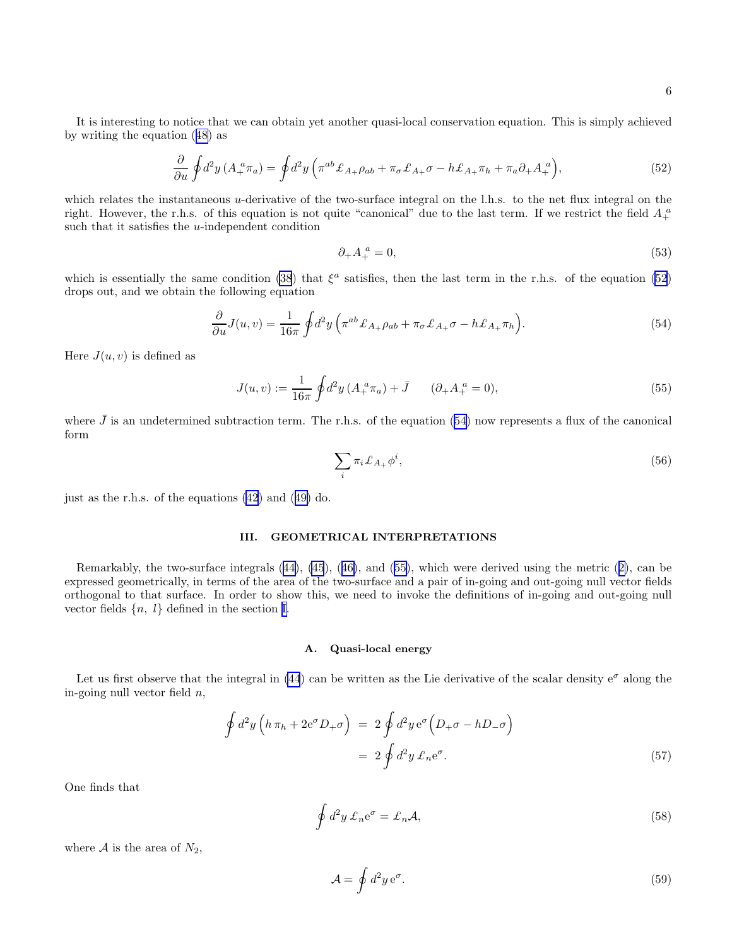6

<span id="page-5-0"></span>It is interesting to notice that we can obtain yet another quasi-local conservation equation. This is simply achieved by writing the equation([48\)](#page-4-0) as

$$
\frac{\partial}{\partial u}\oint d^2y \left(A_+^a \pi_a\right) = \oint d^2y \left(\pi^{ab}\mathcal{L}_{A_+}\rho_{ab} + \pi_\sigma \mathcal{L}_{A_+}\sigma - h\mathcal{L}_{A_+}\pi_h + \pi_a \partial_+ A_+^a\right),\tag{52}
$$

which relates the instantaneous u-derivative of the two-surface integral on the l.h.s. to the net flux integral on the right. However, the r.h.s. of this equation is not quite "canonical" due to the last term. If we restrict the field  $A_+^a$ such that it satisfies the u-independent condition

$$
\partial_+ A_+^a = 0,\tag{53}
$$

which is essentially the same condition [\(38](#page-3-0)) that  $\xi^a$  satisfies, then the last term in the r.h.s. of the equation (52) drops out, and we obtain the following equation

$$
\frac{\partial}{\partial u}J(u,v) = \frac{1}{16\pi} \oint d^2y \left( \pi^{ab} \mathcal{L}_{A_+} \rho_{ab} + \pi_{\sigma} \mathcal{L}_{A_+} \sigma - h \mathcal{L}_{A_+} \pi_h \right). \tag{54}
$$

Here  $J(u, v)$  is defined as

$$
J(u, v) := \frac{1}{16\pi} \oint d^2y \left( A_+^a \pi_a \right) + \bar{J} \qquad (\partial_+ A_+^a = 0), \tag{55}
$$

where  $\bar{J}$  is an undetermined subtraction term. The r.h.s. of the equation (54) now represents a flux of the canonical form

$$
\sum_{i} \pi_i \mathcal{L}_{A_+} \phi^i,\tag{56}
$$

just as the r.h.s. of the equations [\(42](#page-4-0)) and([49\)](#page-4-0) do.

## III. GEOMETRICAL INTERPRETATIONS

Remarkably, the two-surface integrals([44\)](#page-4-0), [\(45](#page-4-0)),([46\)](#page-4-0), and (55), which were derived using the metric([2\)](#page-0-0), can be expressed geometrically, in terms of the area of the two-surface and a pair of in-going and out-going null vector fields orthogonal to that surface. In order to show this, we need to invoke the definitions of in-going and out-going null vector fields  $\{n, l\}$  defined in the section [I.](#page-0-0)

#### A. Quasi-local energy

Let us first observe that the integral in [\(44](#page-4-0)) can be written as the Lie derivative of the scalar density  $e^{\sigma}$  along the in-going null vector field  $n$ ,

$$
\oint d^2y \left( h \pi_h + 2e^{\sigma} D_+ \sigma \right) = 2 \oint d^2y e^{\sigma} \left( D_+ \sigma - h D_- \sigma \right)
$$
\n
$$
= 2 \oint d^2y \mathcal{L}_n e^{\sigma}.
$$
\n(57)

One finds that

$$
\oint d^2y \,\mathcal{L}_n e^{\sigma} = \mathcal{L}_n \mathcal{A},\tag{58}
$$

where  $A$  is the area of  $N_2$ ,

$$
\mathcal{A} = \oint d^2 y \,\mathrm{e}^\sigma. \tag{59}
$$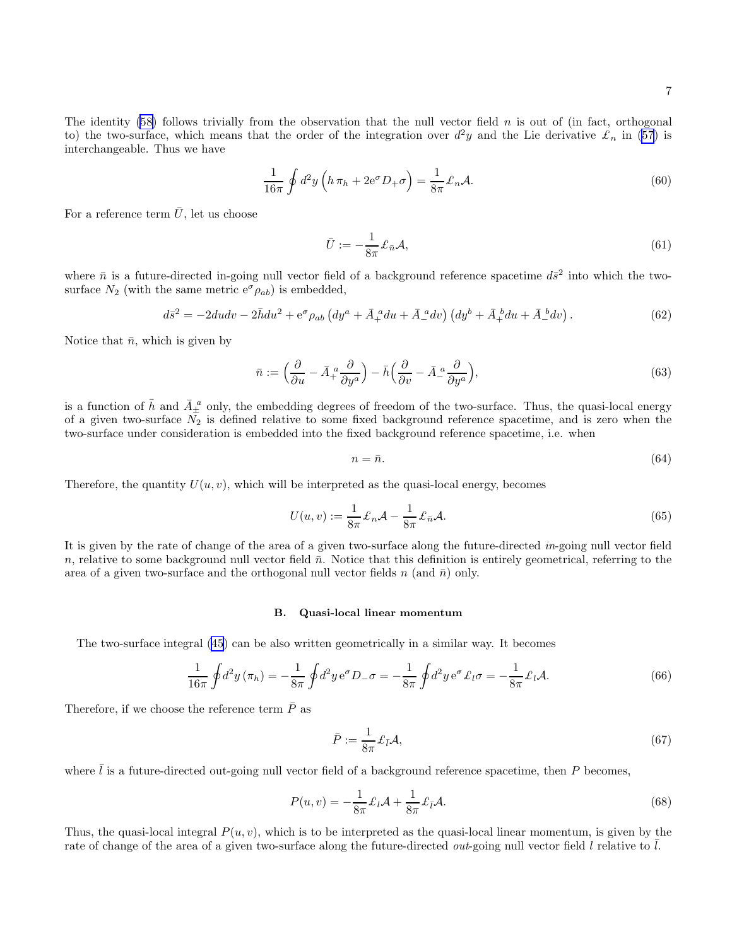<span id="page-6-0"></span>The identity  $(58)$  follows trivially from the observation that the null vector field n is out of (in fact, orthogonal to) the two-surface, which means that the order of the integration over  $d^2y$  and the Lie derivative  $\mathcal{L}_n$  in [\(57](#page-5-0)) is interchangeable. Thus we have

$$
\frac{1}{16\pi} \oint d^2y \left( h \,\pi_h + 2e^{\sigma} D_+\sigma \right) = \frac{1}{8\pi} \mathcal{L}_n \mathcal{A}.\tag{60}
$$

For a reference term  $\bar{U}$ , let us choose

$$
\bar{U} := -\frac{1}{8\pi} \pounds_{\bar{n}} \mathcal{A},\tag{61}
$$

where  $\bar{n}$  is a future-directed in-going null vector field of a background reference spacetime  $d\bar{s}^2$  into which the twosurface  $N_2$  (with the same metric  $e^{\sigma} \rho_{ab}$ ) is embedded,

$$
d\bar{s}^2 = -2dudv - 2\bar{h}du^2 + e^{\sigma}\rho_{ab}\left(dy^a + \bar{A}_+^{\ a}du + \bar{A}_-^{\ a}dv\right)\left(dy^b + \bar{A}_+^{\ b}du + \bar{A}_-^{\ b}dv\right). \tag{62}
$$

Notice that  $\bar{n}$ , which is given by

$$
\bar{n} := \left(\frac{\partial}{\partial u} - \bar{A}_+^a \frac{\partial}{\partial y^a}\right) - \bar{h}\left(\frac{\partial}{\partial v} - \bar{A}_-^a \frac{\partial}{\partial y^a}\right),\tag{63}
$$

is a function of  $\bar{h}$  and  $\bar{A}_{\pm}^{\ a}$  only, the embedding degrees of freedom of the two-surface. Thus, the quasi-local energy of a given two-surface  $N_2$  is defined relative to some fixed background reference spacetime, and is zero when the two-surface under consideration is embedded into the fixed background reference spacetime, i.e. when

$$
n = \bar{n}.\tag{64}
$$

Therefore, the quantity  $U(u, v)$ , which will be interpreted as the quasi-local energy, becomes

$$
U(u,v) := \frac{1}{8\pi} \pounds_n \mathcal{A} - \frac{1}{8\pi} \pounds_{\bar{n}} \mathcal{A}.
$$
\n(65)

It is given by the rate of change of the area of a given two-surface along the future-directed in-going null vector field n, relative to some background null vector field  $\bar{n}$ . Notice that this definition is entirely geometrical, referring to the area of a given two-surface and the orthogonal null vector fields n (and  $\bar{n}$ ) only.

## B. Quasi-local linear momentum

The two-surface integral [\(45](#page-4-0)) can be also written geometrically in a similar way. It becomes

$$
\frac{1}{16\pi} \oint d^2 y (\pi_h) = -\frac{1}{8\pi} \oint d^2 y \, e^{\sigma} D_{-} \sigma = -\frac{1}{8\pi} \oint d^2 y \, e^{\sigma} \mathcal{L}_l \sigma = -\frac{1}{8\pi} \mathcal{L}_l \mathcal{A}.
$$
 (66)

Therefore, if we choose the reference term  $\bar{P}$  as

$$
\bar{P} := \frac{1}{8\pi} \mathcal{L}_{\bar{l}} \mathcal{A},\tag{67}
$$

where  $\overline{l}$  is a future-directed out-going null vector field of a background reference spacetime, then P becomes,

$$
P(u,v) = -\frac{1}{8\pi} \pounds_l \mathcal{A} + \frac{1}{8\pi} \pounds_{\bar{l}} \mathcal{A}.
$$
\n(68)

Thus, the quasi-local integral  $P(u, v)$ , which is to be interpreted as the quasi-local linear momentum, is given by the rate of change of the area of a given two-surface along the future-directed *out*-going null vector field  $l$  relative to  $l$ .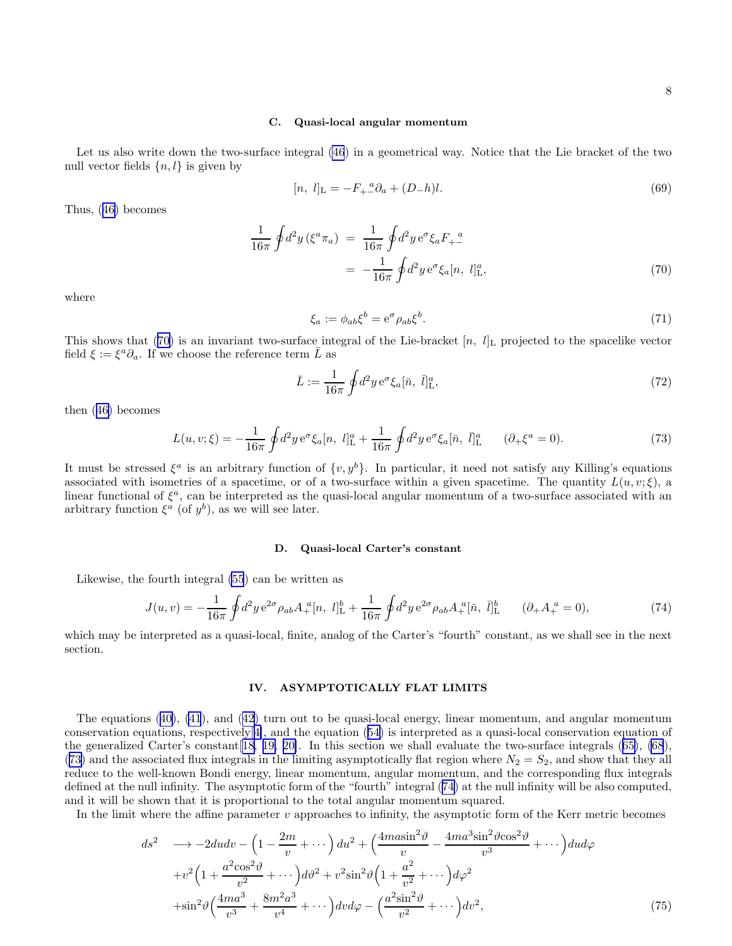#### C. Quasi-local angular momentum

<span id="page-7-0"></span>Let us also write down the two-surface integral [\(46](#page-4-0)) in a geometrical way. Notice that the Lie bracket of the two null vector fields  $\{n, l\}$  is given by

$$
[n, l]_{\mathcal{L}} = -F_{+}^{\ \ a}\partial_{a} + (D_{-}h)l. \tag{69}
$$

Thus,([46\)](#page-4-0) becomes

$$
\frac{1}{16\pi} \oint d^2 y \left(\xi^a \pi_a\right) = \frac{1}{16\pi} \oint d^2 y \, e^{\sigma} \xi_a F_+^a = -\frac{1}{16\pi} \oint d^2 y \, e^{\sigma} \xi_a [n, l]_{\text{L}}^a,
$$
\n(70)

where

$$
\xi_a := \phi_{ab}\xi^b = e^\sigma \rho_{ab}\xi^b. \tag{71}
$$

This shows that (70) is an invariant two-surface integral of the Lie-bracket  $[n, l]_L$  projected to the spacelike vector field  $\xi := \xi^a \partial_a$ . If we choose the reference term  $\overline{L}$  as

$$
\bar{L} := \frac{1}{16\pi} \oint d^2 y \,\mathrm{e}^{\sigma} \xi_a[\bar{n}, \bar{l}]_{\mathrm{L}}^a,\tag{72}
$$

then([46\)](#page-4-0) becomes

$$
L(u, v; \xi) = -\frac{1}{16\pi} \oint d^2 y \, e^{\sigma} \xi_a[n, l]_{\mathcal{L}}^a + \frac{1}{16\pi} \oint d^2 y \, e^{\sigma} \xi_a[\bar{n}, \bar{l}]_{\mathcal{L}}^a \qquad (\partial_+ \xi^a = 0). \tag{73}
$$

It must be stressed  $\xi^a$  is an arbitrary function of  $\{v, y^b\}$ . In particular, it need not satisfy any Killing's equations associated with isometries of a spacetime, or of a two-surface within a given spacetime. The quantity  $L(u, v; \xi)$ , a linear functional of  $\xi^a$ , can be interpreted as the quasi-local angular momentum of a two-surface associated with an arbitrary function  $\xi^a$  (of  $y^b$ ), as we will see later.

#### D. Quasi-local Carter's constant

Likewise, the fourth integral [\(55](#page-5-0)) can be written as

$$
J(u,v) = -\frac{1}{16\pi} \oint d^2y \, e^{2\sigma} \rho_{ab} A_+^a[n, l]_{\mathcal{L}}^b + \frac{1}{16\pi} \oint d^2y \, e^{2\sigma} \rho_{ab} A_+^a[\bar{n}, \bar{l}]_{\mathcal{L}}^b \qquad (\partial_+ A_+^a = 0),\tag{74}
$$

which may be interpreted as a quasi-local, finite, analog of the Carter's "fourth" constant, as we shall see in the next section.

## IV. ASYMPTOTICALLY FLAT LIMITS

The equations([40\)](#page-4-0), [\(41](#page-4-0)), and([42\)](#page-4-0) turn out to be quasi-local energy, linear momentum, and angular momentum conservation equations, respectively[[4\]](#page-18-0), and the equation([54\)](#page-5-0) is interpreted as a quasi-local conservation equation of the generalized Carter's constant[[18, 19, 20\]](#page-18-0). In this section we shall evaluate the two-surface integrals([65\)](#page-6-0), [\(68](#page-6-0)), (73) and the associated flux integrals in the limiting asymptotically flat region where  $N_2 = S_2$ , and show that they all reduce to the well-known Bondi energy, linear momentum, angular momentum, and the corresponding flux integrals defined at the null infinity. The asymptotic form of the "fourth" integral (74) at the null infinity will be also computed, and it will be shown that it is proportional to the total angular momentum squared.

In the limit where the affine parameter  $v$  approaches to infinity, the asymptotic form of the Kerr metric becomes

$$
ds^{2} \longrightarrow -2dudv - \left(1 - \frac{2m}{v} + \cdots\right) du^{2} + \left(\frac{4m\alpha\sin^{2}\theta}{v} - \frac{4ma^{3}\sin^{2}\theta\cos^{2}\theta}{v^{3}} + \cdots\right) du d\varphi
$$

$$
+v^{2}\left(1 + \frac{a^{2}\cos^{2}\theta}{v^{2}} + \cdots\right)dv^{2} + v^{2}\sin^{2}\theta\left(1 + \frac{a^{2}}{v^{2}} + \cdots\right)d\varphi^{2}
$$

$$
+\sin^{2}\theta\left(\frac{4ma^{3}}{v^{3}} + \frac{8m^{2}a^{3}}{v^{4}} + \cdots\right)dv d\varphi - \left(\frac{a^{2}\sin^{2}\theta}{v^{2}} + \cdots\right)dv^{2}, \tag{75}
$$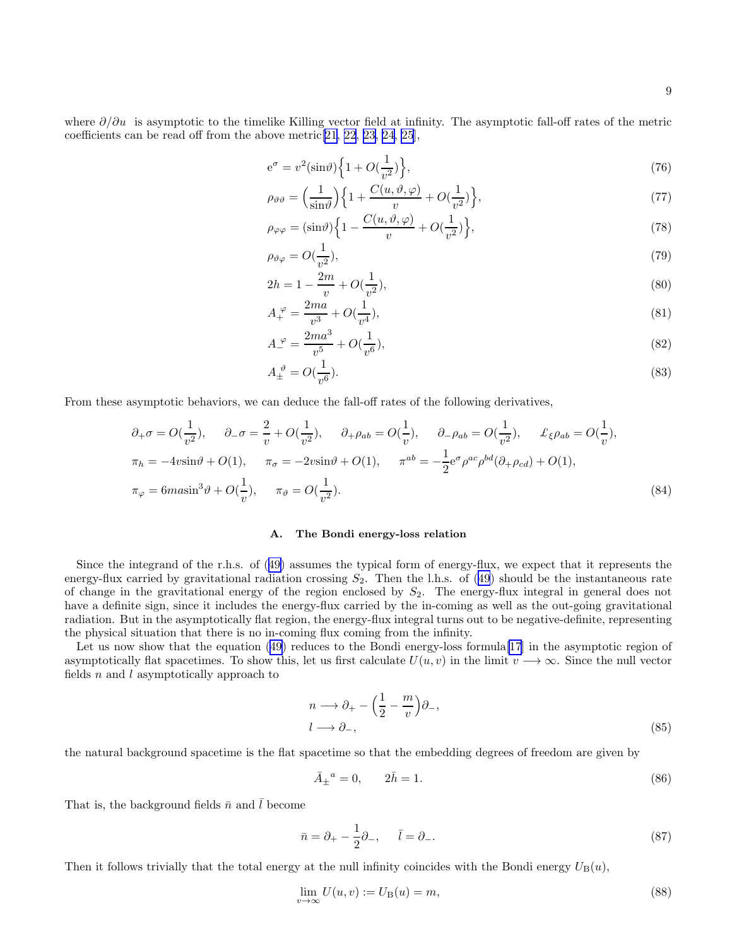<span id="page-8-0"></span>where  $\partial/\partial u$  is asymptotic to the timelike Killing vector field at infinity. The asymptotic fall-off rates of the metric coefficients can be read off from the above metric[[21, 22, 23](#page-18-0), [24, 25](#page-18-0)],

$$
e^{\sigma} = v^2(\sin \theta) \left\{ 1 + O(\frac{1}{v^2}) \right\},\tag{76}
$$

$$
\rho_{\vartheta\vartheta} = \left(\frac{1}{\sin\vartheta}\right) \left\{ 1 + \frac{C(u,\vartheta,\varphi)}{v} + O(\frac{1}{v^2}) \right\},\tag{77}
$$

$$
\rho_{\varphi\varphi} = (\sin\vartheta) \left\{ 1 - \frac{C(u, \vartheta, \varphi)}{v} + O(\frac{1}{v^2}) \right\},\tag{78}
$$

$$
\rho_{\vartheta\varphi} = O(\frac{1}{v^2}),\tag{79}
$$

$$
2h = 1 - \frac{2m}{v} + O(\frac{1}{v^2}),\tag{80}
$$

$$
A_{+}^{\varphi} = \frac{2ma}{v^3} + O(\frac{1}{v^4}),\tag{81}
$$

$$
A_{-}^{\varphi} = \frac{2ma^3}{v^5} + O(\frac{1}{v^6}),\tag{82}
$$

$$
A_{\pm}^{\ \vartheta} = O(\frac{1}{v^6}).\tag{83}
$$

From these asymptotic behaviors, we can deduce the fall-off rates of the following derivatives,

$$
\partial_{+}\sigma = O(\frac{1}{v^{2}}), \quad \partial_{-}\sigma = \frac{2}{v} + O(\frac{1}{v^{2}}), \quad \partial_{+}\rho_{ab} = O(\frac{1}{v}), \quad \partial_{-}\rho_{ab} = O(\frac{1}{v^{2}}), \quad \pounds_{\xi}\rho_{ab} = O(\frac{1}{v}),
$$
  

$$
\pi_{h} = -4v\sin\vartheta + O(1), \quad \pi_{\sigma} = -2v\sin\vartheta + O(1), \quad \pi^{ab} = -\frac{1}{2}e^{\sigma}\rho^{ac}\rho^{bd}(\partial_{+}\rho_{cd}) + O(1),
$$
  

$$
\pi_{\varphi} = 6m\sin^{3}\vartheta + O(\frac{1}{v}), \quad \pi_{\vartheta} = O(\frac{1}{v^{2}}).
$$
 (84)

#### A. The Bondi energy-loss relation

Since the integrand of the r.h.s. of([49\)](#page-4-0) assumes the typical form of energy-flux, we expect that it represents the energy-flux carried by gravitational radiation crossing  $S_2$ . Then the l.h.s. of [\(49](#page-4-0)) should be the instantaneous rate of change in the gravitational energy of the region enclosed by  $S_2$ . The energy-flux integral in general does not have a definite sign, since it includes the energy-flux carried by the in-coming as well as the out-going gravitational radiation. But in the asymptotically flat region, the energy-flux integral turns out to be negative-definite, representing the physical situation that there is no in-coming flux coming from the infinity.

Letus now show that the equation ([49](#page-4-0)) reduces to the Bondi energy-loss formula [\[17](#page-18-0)] in the asymptotic region of asymptotically flat spacetimes. To show this, let us first calculate  $U(u, v)$  in the limit  $v \to \infty$ . Since the null vector fields  $n$  and  $l$  asymptotically approach to

$$
n \longrightarrow \partial_{+} - \left(\frac{1}{2} - \frac{m}{v}\right)\partial_{-},
$$
  

$$
l \longrightarrow \partial_{-},
$$
 (85)

the natural background spacetime is the flat spacetime so that the embedding degrees of freedom are given by

$$
\bar{A}_{\pm}{}^{a} = 0, \qquad 2\bar{h} = 1. \tag{86}
$$

That is, the background fields  $\bar{n}$  and  $\bar{l}$  become

$$
\bar{n} = \partial_+ - \frac{1}{2}\partial_-, \qquad \bar{l} = \partial_-.
$$
\n(87)

Then it follows trivially that the total energy at the null infinity coincides with the Bondi energy  $U_{\text{B}}(u)$ ,

$$
\lim_{v \to \infty} U(u, v) := U_{\mathcal{B}}(u) = m,\tag{88}
$$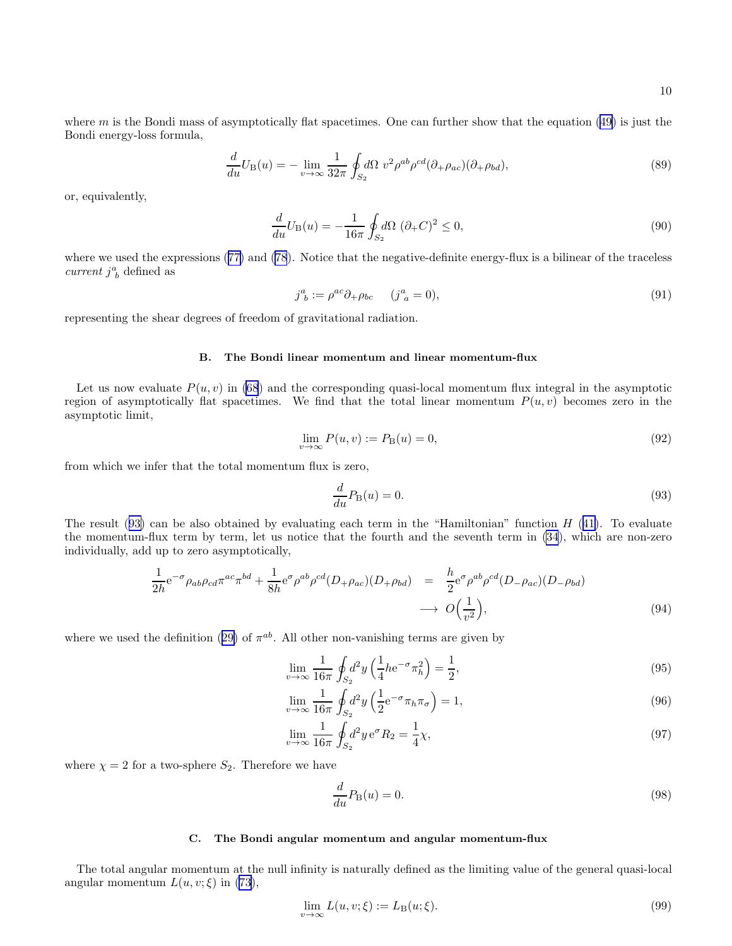where  $m$  is the Bondi mass of asymptotically flat spacetimes. One can further show that the equation [\(49](#page-4-0)) is just the Bondi energy-loss formula,

$$
\frac{d}{du}U_{\mathcal{B}}(u) = -\lim_{v \to \infty} \frac{1}{32\pi} \oint_{S_2} d\Omega \ v^2 \rho^{ab} \rho^{cd} (\partial_{+} \rho_{ac}) (\partial_{+} \rho_{bd}),\tag{89}
$$

or, equivalently,

$$
\frac{d}{du}U_{\mathcal{B}}(u) = -\frac{1}{16\pi} \oint_{S_2} d\Omega \, (\partial_+ C)^2 \le 0,\tag{90}
$$

wherewe used the expressions ([77\)](#page-8-0) and [\(78](#page-8-0)). Notice that the negative-definite energy-flux is a bilinear of the traceless current  $j^a_{\ b}$  defined as

$$
j^a_{\ b} := \rho^{ac} \partial_+ \rho_{bc} \qquad (j^a_{\ a} = 0), \tag{91}
$$

representing the shear degrees of freedom of gravitational radiation.

## B. The Bondi linear momentum and linear momentum-flux

Let us now evaluate  $P(u, v)$  in [\(68](#page-6-0)) and the corresponding quasi-local momentum flux integral in the asymptotic region of asymptotically flat spacetimes. We find that the total linear momentum  $P(u, v)$  becomes zero in the asymptotic limit,

$$
\lim_{v \to \infty} P(u, v) := P_{\mathcal{B}}(u) = 0,\tag{92}
$$

from which we infer that the total momentum flux is zero,

$$
\frac{d}{du}P_{\mathcal{B}}(u) = 0.\tag{93}
$$

The result  $(93)$  can be also obtained by evaluating each term in the "Hamiltonian" function H  $(41)$  $(41)$ . To evaluate the momentum-flux term by term, let us notice that the fourth and the seventh term in [\(34](#page-3-0)), which are non-zero individually, add up to zero asymptotically,

$$
\frac{1}{2h}e^{-\sigma}\rho_{ab}\rho_{cd}\pi^{ac}\pi^{bd} + \frac{1}{8h}e^{\sigma}\rho^{ab}\rho^{cd}(D_{+}\rho_{ac})(D_{+}\rho_{bd}) = \frac{h}{2}e^{\sigma}\rho^{ab}\rho^{cd}(D_{-}\rho_{ac})(D_{-}\rho_{bd})
$$
\n
$$
\longrightarrow O\left(\frac{1}{v^2}\right),\tag{94}
$$

wherewe used the definition ([29\)](#page-3-0) of  $\pi^{ab}$ . All other non-vanishing terms are given by

$$
\lim_{v \to \infty} \frac{1}{16\pi} \oint_{S_2} d^2 y \left( \frac{1}{4} h e^{-\sigma} \pi_h^2 \right) = \frac{1}{2},\tag{95}
$$

$$
\lim_{v \to \infty} \frac{1}{16\pi} \oint_{S_2} d^2 y \left( \frac{1}{2} e^{-\sigma} \pi_h \pi_\sigma \right) = 1,\tag{96}
$$

$$
\lim_{v \to \infty} \frac{1}{16\pi} \oint_{S_2} d^2 y \, \mathrm{e}^{\sigma} R_2 = \frac{1}{4} \chi,\tag{97}
$$

where  $\chi = 2$  for a two-sphere  $S_2$ . Therefore we have

$$
\frac{d}{du}P_{\mathcal{B}}(u) = 0.\tag{98}
$$

#### C. The Bondi angular momentum and angular momentum-flux

The total angular momentum at the null infinity is naturally defined as the limiting value of the general quasi-local angular momentum  $L(u, v; \xi)$  in [\(73](#page-7-0)),

$$
\lim_{v \to \infty} L(u, v; \xi) := L_{\mathcal{B}}(u; \xi).
$$
\n(99)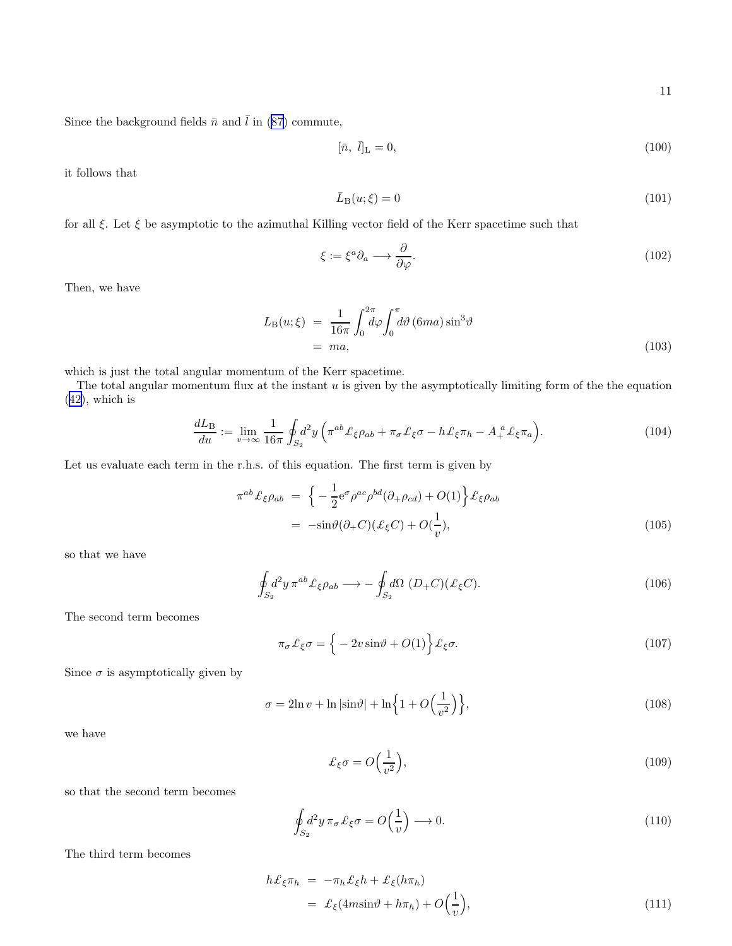<span id="page-10-0"></span>Since the background fields  $\bar{n}$  and  $\bar{l}$  in [\(87](#page-8-0)) commute,

$$
[\bar{n}, \bar{l}]_{\text{L}} = 0,\tag{100}
$$

it follows that

$$
\bar{L}_{\mathrm{B}}(u;\xi) = 0\tag{101}
$$

for all  $\xi$ . Let  $\xi$  be asymptotic to the azimuthal Killing vector field of the Kerr spacetime such that

$$
\xi := \xi^a \partial_a \longrightarrow \frac{\partial}{\partial \varphi}.\tag{102}
$$

Then, we have

$$
L_{\rm B}(u;\xi) = \frac{1}{16\pi} \int_0^{2\pi} d\varphi \int_0^{\pi} d\vartheta \, (6ma) \sin^3 \vartheta
$$
  
= ma, (103)

which is just the total angular momentum of the Kerr spacetime.

The total angular momentum flux at the instant  $u$  is given by the asymptotically limiting form of the the equation ([42\)](#page-4-0), which is

$$
\frac{dL_B}{du} := \lim_{v \to \infty} \frac{1}{16\pi} \oint_{S_2} d^2 y \left( \pi^{ab} \mathcal{L}_{\xi} \rho_{ab} + \pi_{\sigma} \mathcal{L}_{\xi} \sigma - h \mathcal{L}_{\xi} \pi_h - A_+^a \mathcal{L}_{\xi} \pi_a \right).
$$
(104)

Let us evaluate each term in the r.h.s. of this equation. The first term is given by

$$
\pi^{ab}\mathcal{L}_{\xi}\rho_{ab} = \left\{-\frac{1}{2}e^{\sigma}\rho^{ac}\rho^{bd}(\partial_{+}\rho_{cd}) + O(1)\right\}\mathcal{L}_{\xi}\rho_{ab}
$$

$$
= -\sin\vartheta(\partial_{+}C)(\mathcal{L}_{\xi}C) + O(\frac{1}{v}), \tag{105}
$$

so that we have

$$
\oint_{S_2} d^2 y \,\pi^{ab} \mathcal{L}_{\xi} \rho_{ab} \longrightarrow -\oint_{S_2} d\Omega \, \left( D_+ C \right) \left( \mathcal{L}_{\xi} C \right). \tag{106}
$$

The second term becomes

$$
\pi_{\sigma} \mathcal{L}_{\xi} \sigma = \left\{-2v \sin \vartheta + O(1)\right\} \mathcal{L}_{\xi} \sigma. \tag{107}
$$

Since  $\sigma$  is asymptotically given by

$$
\sigma = 2\ln v + \ln|\sin\theta| + \ln\left\{1 + O\left(\frac{1}{v^2}\right)\right\},\tag{108}
$$

we have

$$
\mathcal{L}_{\xi}\sigma = O\Big(\frac{1}{v^2}\Big),\tag{109}
$$

so that the second term becomes

$$
\oint_{S_2} d^2 y \,\pi_\sigma \,\pounds_\xi \sigma = O\Big(\frac{1}{v}\Big) \longrightarrow 0. \tag{110}
$$

The third term becomes

$$
h\mathcal{L}_{\xi}\pi_h = -\pi_h \mathcal{L}_{\xi}h + \mathcal{L}_{\xi}(h\pi_h)
$$
  
=  $\mathcal{L}_{\xi}(4m\sin\vartheta + h\pi_h) + O\left(\frac{1}{v}\right),$  (111)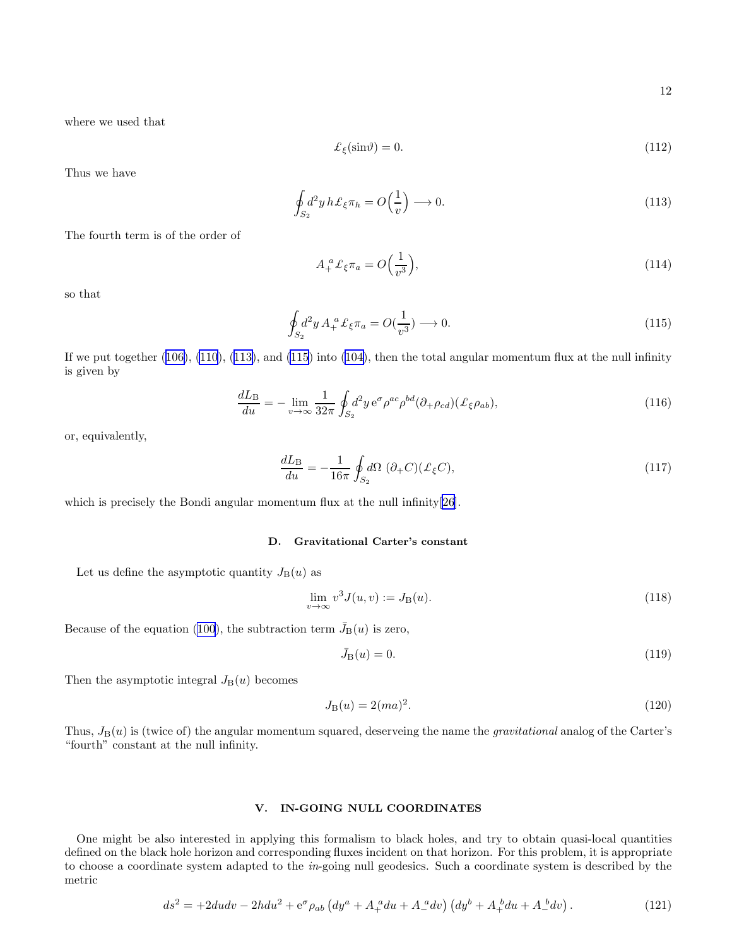<span id="page-11-0"></span>where we used that

$$
\mathcal{L}_{\xi}(\sin \theta) = 0. \tag{112}
$$

Thus we have

$$
\oint_{S_2} d^2 y \, h \mathcal{L}_{\xi} \pi_h = O\left(\frac{1}{v}\right) \longrightarrow 0. \tag{113}
$$

The fourth term is of the order of

$$
A_+^a \mathcal{L}_{\xi} \pi_a = O\Big(\frac{1}{v^3}\Big),\tag{114}
$$

so that

$$
\oint_{S_2} d^2 y \, A_+^a \mathcal{L}_{\xi} \pi_a = O(\frac{1}{v^3}) \longrightarrow 0. \tag{115}
$$

Ifwe put together  $(106)$  $(106)$ ,  $(110)$ ,  $(113)$ , and  $(115)$  into  $(104)$  $(104)$ , then the total angular momentum flux at the null infinity is given by

$$
\frac{dL_B}{du} = -\lim_{v \to \infty} \frac{1}{32\pi} \oint_{S_2} d^2 y \, \mathrm{e}^{\sigma} \rho^{ac} \rho^{bd} (\partial_+ \rho_{cd}) (\pounds_{\xi} \rho_{ab}),\tag{116}
$$

or, equivalently,

$$
\frac{dL_{\rm B}}{du} = -\frac{1}{16\pi} \oint_{S_2} d\Omega \, (\partial_+ C)(\mathcal{L}_{\xi} C),\tag{117}
$$

which is precisely the Bondi angular momentum flux at the null infinity[\[26](#page-18-0)].

## D. Gravitational Carter's constant

Let us define the asymptotic quantity  $J_{\text{B}}(u)$  as

$$
\lim_{v \to \infty} v^3 J(u, v) := J_{\mathcal{B}}(u). \tag{118}
$$

Because of the equation [\(100](#page-10-0)), the subtraction term  $\bar{J}_{B}(u)$  is zero,

$$
\bar{J}_{\mathcal{B}}(u) = 0.\tag{119}
$$

Then the asymptotic integral  $J_{\text{B}}(u)$  becomes

$$
J_{\mathcal{B}}(u) = 2(ma)^2.
$$
\n(120)

Thus,  $J_B(u)$  is (twice of) the angular momentum squared, deserveing the name the *gravitational* analog of the Carter's "fourth" constant at the null infinity.

## V. IN-GOING NULL COORDINATES

One might be also interested in applying this formalism to black holes, and try to obtain quasi-local quantities defined on the black hole horizon and corresponding fluxes incident on that horizon. For this problem, it is appropriate to choose a coordinate system adapted to the in-going null geodesics. Such a coordinate system is described by the metric

$$
ds^{2} = +2dudv - 2hdu^{2} + e^{\sigma}\rho_{ab} \left( dy^{a} + A_{+}^{a}du + A_{-}^{a}dv \right) \left( dy^{b} + A_{+}^{b}du + A_{-}^{b}dv \right). \tag{121}
$$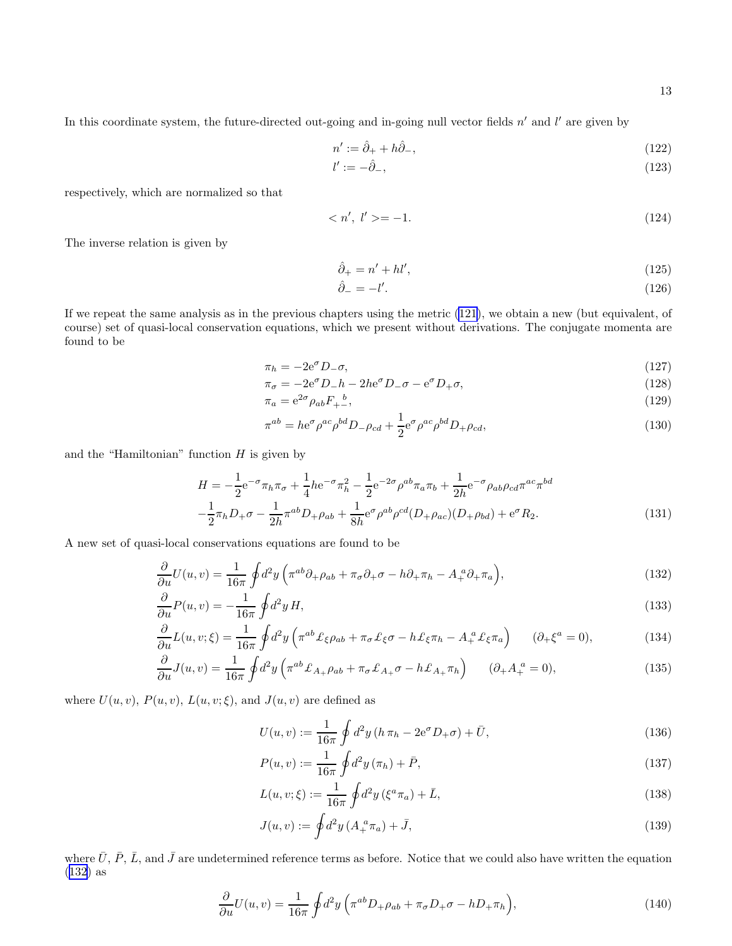<span id="page-12-0"></span>In this coordinate system, the future-directed out-going and in-going null vector fields  $n'$  and  $l'$  are given by

$$
n' := \hat{\partial}_+ + h\hat{\partial}_-, \tag{122}
$$

$$
l' := -\hat{\partial}_-, \tag{123}
$$

respectively, which are normalized so that

$$
\langle n', l' \rangle = -1. \tag{124}
$$

The inverse relation is given by

$$
\hat{\partial}_+ = n' + h l',\tag{125}
$$

$$
\hat{\partial}_{-} = -l'.\tag{126}
$$

If we repeat the same analysis as in the previous chapters using the metric [\(121](#page-11-0)), we obtain a new (but equivalent, of course) set of quasi-local conservation equations, which we present without derivations. The conjugate momenta are found to be

$$
\pi_h = -2e^{\sigma} D_-\sigma,\tag{127}
$$

$$
\pi_{\sigma} = -2e^{\sigma}D_{-}h - 2he^{\sigma}D_{-\sigma} - e^{\sigma}D_{+}\sigma, \qquad (128)
$$

$$
\pi_a = e^{2\sigma} \rho_{ab} F_{+-}, \tag{129}
$$

$$
\pi^{ab} = h e^{\sigma} \rho^{ac} \rho^{bd} D_{-\rho_{cd}} + \frac{1}{2} e^{\sigma} \rho^{ac} \rho^{bd} D_{+\rho_{cd}},\tag{130}
$$

and the "Hamiltonian" function  $H$  is given by

$$
H = -\frac{1}{2}e^{-\sigma}\pi_h\pi_\sigma + \frac{1}{4}he^{-\sigma}\pi_h^2 - \frac{1}{2}e^{-2\sigma}\rho^{ab}\pi_a\pi_b + \frac{1}{2h}e^{-\sigma}\rho_{ab}\rho_{cd}\pi^{ac}\pi^{bd}
$$
  

$$
-\frac{1}{2}\pi_hD_+\sigma - \frac{1}{2h}\pi^{ab}D_+\rho_{ab} + \frac{1}{8h}e^{\sigma}\rho^{ab}\rho^{cd}(D_+\rho_{ac})(D_+\rho_{bd}) + e^{\sigma}R_2.
$$
 (131)

A new set of quasi-local conservations equations are found to be

$$
\frac{\partial}{\partial u}U(u,v) = \frac{1}{16\pi} \oint d^2y \left( \pi^{ab}\partial_+\rho_{ab} + \pi_\sigma \partial_+\sigma - h\partial_+\pi_h - A_+^{\ a}\partial_+\pi_a \right),\tag{132}
$$

$$
\frac{\partial}{\partial u}P(u,v) = -\frac{1}{16\pi} \oint d^2y H,\tag{133}
$$

$$
\frac{\partial}{\partial u}L(u,v;\xi) = \frac{1}{16\pi} \oint d^2y \left( \pi^{ab} \mathcal{L}_{\xi}\rho_{ab} + \pi_{\sigma}\mathcal{L}_{\xi}\sigma - h\mathcal{L}_{\xi}\pi_h - A_+^a \mathcal{L}_{\xi}\pi_a \right) \qquad (\partial_+ \xi^a = 0),\tag{134}
$$

$$
\frac{\partial}{\partial u}J(u,v) = \frac{1}{16\pi} \oint d^2y \left( \pi^{ab} \mathcal{L}_{A_+} \rho_{ab} + \pi_{\sigma} \mathcal{L}_{A_+} \sigma - h \mathcal{L}_{A_+} \pi_h \right) \qquad (\partial_+ A_+^a = 0),\tag{135}
$$

where  $U(u, v)$ ,  $P(u, v)$ ,  $L(u, v; \xi)$ , and  $J(u, v)$  are defined as

$$
U(u, v) := \frac{1}{16\pi} \oint d^2y \left( h \,\pi_h - 2e^{\sigma} D_+\sigma \right) + \bar{U},\tag{136}
$$

$$
P(u, v) := \frac{1}{16\pi} \oint d^2y (\pi_h) + \bar{P}, \qquad (137)
$$

$$
L(u, v; \xi) := \frac{1}{16\pi} \oint d^2 y \left(\xi^a \pi_a\right) + \bar{L},\tag{138}
$$

$$
J(u, v) := \oint d^2y \, (A_+^a \pi_a) + \bar{J}, \tag{139}
$$

where  $\bar{U}$ ,  $\bar{P}$ ,  $\bar{L}$ , and  $\bar{J}$  are undetermined reference terms as before. Notice that we could also have written the equation (132) as

$$
\frac{\partial}{\partial u}U(u,v) = \frac{1}{16\pi} \oint d^2y \left(\pi^{ab} D_+\rho_{ab} + \pi_{\sigma} D_+\sigma - hD_+\pi_h\right),\tag{140}
$$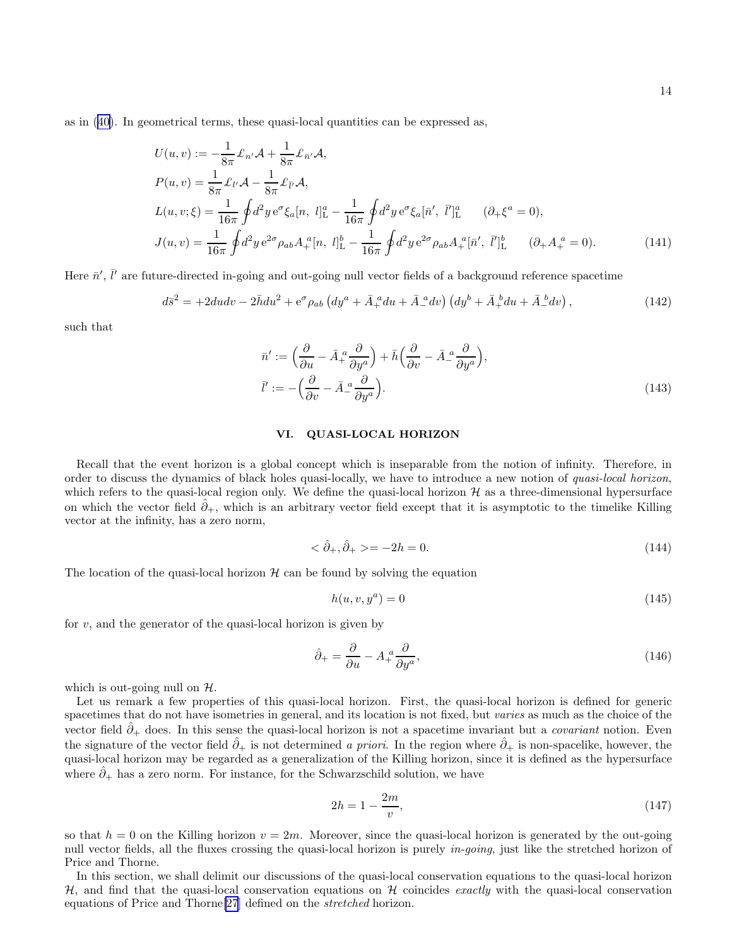as in([40\)](#page-4-0). In geometrical terms, these quasi-local quantities can be expressed as,

$$
U(u, v) := -\frac{1}{8\pi} \pounds_{n'} \mathcal{A} + \frac{1}{8\pi} \pounds_{\bar{n}'} \mathcal{A},
$$
  
\n
$$
P(u, v) = \frac{1}{8\pi} \pounds_{l'} \mathcal{A} - \frac{1}{8\pi} \pounds_{\bar{l}'} \mathcal{A},
$$
  
\n
$$
L(u, v; \xi) = \frac{1}{16\pi} \oint d^{2}y \, e^{\sigma} \xi_{a}[n, l]_{\mathcal{L}}^{a} - \frac{1}{16\pi} \oint d^{2}y \, e^{\sigma} \xi_{a}[\bar{n}', \bar{l}']_{\mathcal{L}}^{a} \qquad (\partial_{+} \xi^{a} = 0),
$$
  
\n
$$
J(u, v) = \frac{1}{16\pi} \oint d^{2}y \, e^{2\sigma} \rho_{ab} A_{+}^{a}[n, l]_{\mathcal{L}}^{b} - \frac{1}{16\pi} \oint d^{2}y \, e^{2\sigma} \rho_{ab} A_{+}^{a}[\bar{n}', \bar{l}']_{\mathcal{L}}^{b} \qquad (\partial_{+} A_{+}^{a} = 0).
$$
\n(141)

Here  $\bar{n}'$ ,  $\bar{l}'$  are future-directed in-going and out-going null vector fields of a background reference spacetime

$$
d\bar{s}^2 = +2dudv - 2\bar{h}du^2 + e^{\sigma}\rho_{ab} \left( dy^a + \bar{A}_+^a du + \bar{A}_-^a dv \right) \left( dy^b + \bar{A}_+^b du + \bar{A}_-^b dv \right),\tag{142}
$$

such that

$$
\bar{n}' := \left(\frac{\partial}{\partial u} - \bar{A}_+^a \frac{\partial}{\partial y^a}\right) + \bar{h}\left(\frac{\partial}{\partial v} - \bar{A}_-^a \frac{\partial}{\partial y^a}\right),
$$
\n
$$
\bar{l}' := -\left(\frac{\partial}{\partial v} - \bar{A}_-^a \frac{\partial}{\partial y^a}\right).
$$
\n(143)

## VI. QUASI-LOCAL HORIZON

Recall that the event horizon is a global concept which is inseparable from the notion of infinity. Therefore, in order to discuss the dynamics of black holes quasi-locally, we have to introduce a new notion of quasi-local horizon, which refers to the quasi-local region only. We define the quasi-local horizon  $H$  as a three-dimensional hypersurface on which the vector field  $\partial_{+}$ , which is an arbitrary vector field except that it is asymptotic to the timelike Killing vector at the infinity, has a zero norm,

$$
\langle \hat{\partial}_+, \hat{\partial}_+ \rangle = -2h = 0. \tag{144}
$$

The location of the quasi-local horizon  $H$  can be found by solving the equation

$$
h(u, v, y^a) = 0 \tag{145}
$$

for  $v$ , and the generator of the quasi-local horizon is given by

$$
\hat{\partial}_{+} = \frac{\partial}{\partial u} - A_{+}^{a} \frac{\partial}{\partial y^{a}},\tag{146}
$$

which is out-going null on  $H$ .

Let us remark a few properties of this quasi-local horizon. First, the quasi-local horizon is defined for generic spacetimes that do not have isometries in general, and its location is not fixed, but varies as much as the choice of the vector field  $\hat{\partial}_+$  does. In this sense the quasi-local horizon is not a spacetime invariant but a *covariant* notion. Even the signature of the vector field  $\hat{\partial}_+$  is not determined a priori. In the region where  $\hat{\partial}_+$  is non-spacelike, however, the quasi-local horizon may be regarded as a generalization of the Killing horizon, since it is defined as the hypersurface where  $\hat{\partial}_+$  has a zero norm. For instance, for the Schwarzschild solution, we have

$$
2h = 1 - \frac{2m}{v},
$$
\n(147)

so that  $h = 0$  on the Killing horizon  $v = 2m$ . Moreover, since the quasi-local horizon is generated by the out-going null vector fields, all the fluxes crossing the quasi-local horizon is purely *in-going*, just like the stretched horizon of Price and Thorne.

In this section, we shall delimit our discussions of the quasi-local conservation equations to the quasi-local horizon  $H$ , and find that the quasi-local conservation equations on H coincides exactly with the quasi-local conservation equations of Price and Thorne[\[27](#page-18-0)] defined on the stretched horizon.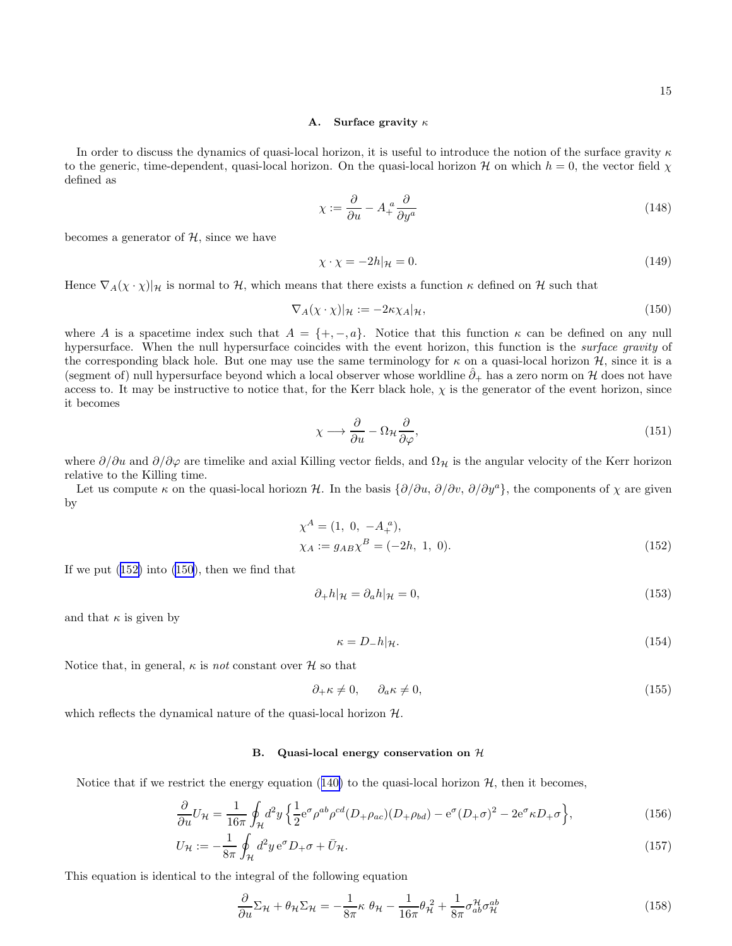#### A. Surface gravity  $\kappa$

<span id="page-14-0"></span>In order to discuss the dynamics of quasi-local horizon, it is useful to introduce the notion of the surface gravity  $\kappa$ to the generic, time-dependent, quasi-local horizon. On the quasi-local horizon H on which  $h = 0$ , the vector field  $\chi$ defined as

$$
\chi := \frac{\partial}{\partial u} - A_+^a \frac{\partial}{\partial y^a} \tag{148}
$$

becomes a generator of  $H$ , since we have

$$
\chi \cdot \chi = -2h|_{\mathcal{H}} = 0. \tag{149}
$$

Hence  $\nabla_A(\chi \cdot \chi)|_{\mathcal{H}}$  is normal to H, which means that there exists a function  $\kappa$  defined on H such that

$$
\nabla_A(\chi \cdot \chi)|_{\mathcal{H}} := -2\kappa \chi_A|_{\mathcal{H}},\tag{150}
$$

where A is a spacetime index such that  $A = \{+, -, a\}$ . Notice that this function  $\kappa$  can be defined on any null hypersurface. When the null hypersurface coincides with the event horizon, this function is the surface gravity of the corresponding black hole. But one may use the same terminology for  $\kappa$  on a quasi-local horizon  $\mathcal{H}$ , since it is a (segment of) null hypersurface beyond which a local observer whose worldline  $\partial_+$  has a zero norm on H does not have access to. It may be instructive to notice that, for the Kerr black hole,  $\chi$  is the generator of the event horizon, since it becomes

$$
\chi \longrightarrow \frac{\partial}{\partial u} - \Omega_{\mathcal{H}} \frac{\partial}{\partial \varphi},\tag{151}
$$

where  $\partial/\partial u$  and  $\partial/\partial \varphi$  are timelike and axial Killing vector fields, and  $\Omega_{\mathcal{H}}$  is the angular velocity of the Kerr horizon relative to the Killing time.

Let us compute  $\kappa$  on the quasi-local horiozn H. In the basis  $\{\partial/\partial u, \partial/\partial v, \partial/\partial y^a\}$ , the components of  $\chi$  are given by

$$
\chi^{A} = (1, 0, -A_{+}^{a}),
$$
  
\n
$$
\chi_{A} := g_{AB} \chi^{B} = (-2h, 1, 0).
$$
\n(152)

If we put  $(152)$  into  $(150)$ , then we find that

$$
\partial_+ h|_{\mathcal{H}} = \partial_a h|_{\mathcal{H}} = 0,\tag{153}
$$

and that  $\kappa$  is given by

$$
\kappa = D_- h|_{\mathcal{H}}.\tag{154}
$$

Notice that, in general,  $\kappa$  is *not* constant over  $\mathcal H$  so that

$$
\partial_{+} \kappa \neq 0, \qquad \partial_{a} \kappa \neq 0, \tag{155}
$$

which reflects the dynamical nature of the quasi-local horizon  $H$ .

#### B. Quasi-local energy conservation on  $H$

Noticethat if we restrict the energy equation ([140\)](#page-12-0) to the quasi-local horizon  $H$ , then it becomes,

$$
\frac{\partial}{\partial u}U_{\mathcal{H}} = \frac{1}{16\pi} \oint_{\mathcal{H}} d^2 y \left\{ \frac{1}{2} e^{\sigma} \rho^{ab} \rho^{cd} (D_+ \rho_{ac}) (D_+ \rho_{bd}) - e^{\sigma} (D_+ \sigma)^2 - 2 e^{\sigma} \kappa D_+ \sigma \right\},\tag{156}
$$

$$
U_{\mathcal{H}} := -\frac{1}{8\pi} \oint_{\mathcal{H}} d^2 y \,\mathrm{e}^{\sigma} D_+ \sigma + \bar{U}_{\mathcal{H}}.\tag{157}
$$

This equation is identical to the integral of the following equation

$$
\frac{\partial}{\partial u} \Sigma_{\mathcal{H}} + \theta_{\mathcal{H}} \Sigma_{\mathcal{H}} = -\frac{1}{8\pi} \kappa \ \theta_{\mathcal{H}} - \frac{1}{16\pi} \theta_{\mathcal{H}}^2 + \frac{1}{8\pi} \sigma_{ab}^{\mathcal{H}} \sigma_{\mathcal{H}}^{ab}
$$
(158)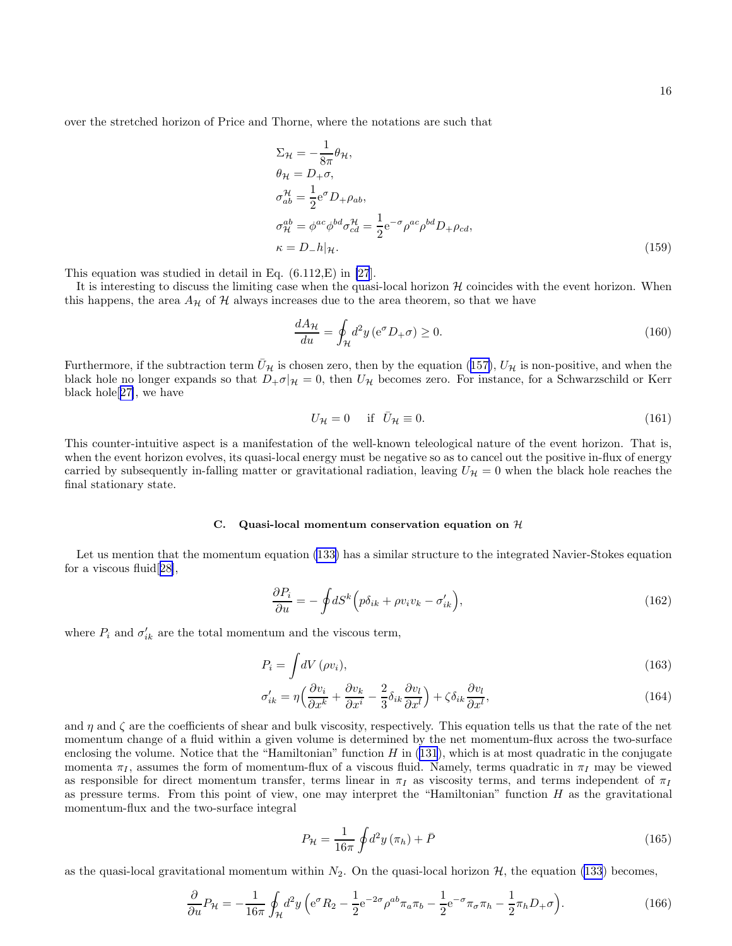<span id="page-15-0"></span>over the stretched horizon of Price and Thorne, where the notations are such that

$$
\Sigma_{\mathcal{H}} = -\frac{1}{8\pi} \theta_{\mathcal{H}},
$$
  
\n
$$
\theta_{\mathcal{H}} = D_{+}\sigma,
$$
  
\n
$$
\sigma_{ab}^{\mathcal{H}} = \frac{1}{2} e^{\sigma} D_{+} \rho_{ab},
$$
  
\n
$$
\sigma_{\mathcal{H}}^{ab} = \phi^{ac} \phi^{bd} \sigma_{cd}^{\mathcal{H}} = \frac{1}{2} e^{-\sigma} \rho^{ac} \rho^{bd} D_{+} \rho_{cd},
$$
  
\n
$$
\kappa = D_{-} h | \mathcal{H}.
$$
\n(159)

This equation was studied in detail in Eq. (6.112,E) in [\[27](#page-18-0)].

It is interesting to discuss the limiting case when the quasi-local horizon  $H$  coincides with the event horizon. When this happens, the area  $A_{\mathcal{H}}$  of  $\mathcal H$  always increases due to the area theorem, so that we have

$$
\frac{dA_{\mathcal{H}}}{du} = \oint_{\mathcal{H}} d^2 y \left( e^{\sigma} D_+ \sigma \right) \ge 0. \tag{160}
$$

Furthermore,if the subtraction term  $U_{\mathcal{H}}$  is chosen zero, then by the equation ([157\)](#page-14-0),  $U_{\mathcal{H}}$  is non-positive, and when the black hole no longer expands so that  $D_{+}\sigma|_{\mathcal{H}}=0$ , then  $U_{\mathcal{H}}$  becomes zero. For instance, for a Schwarzschild or Kerr black hole[[27\]](#page-18-0), we have

$$
U_{\mathcal{H}} = 0 \quad \text{if} \quad \bar{U}_{\mathcal{H}} \equiv 0. \tag{161}
$$

This counter-intuitive aspect is a manifestation of the well-known teleological nature of the event horizon. That is, when the event horizon evolves, its quasi-local energy must be negative so as to cancel out the positive in-flux of energy carried by subsequently in-falling matter or gravitational radiation, leaving  $U_{\mathcal{H}} = 0$  when the black hole reaches the final stationary state.

## C. Quasi-local momentum conservation equation on  $H$

Let us mention that the momentum equation [\(133\)](#page-12-0) has a similar structure to the integrated Navier-Stokes equation for a viscous fluid[[28\]](#page-18-0),

$$
\frac{\partial P_i}{\partial u} = -\oint dS^k \Big( p\delta_{ik} + \rho v_i v_k - \sigma'_{ik} \Big),\tag{162}
$$

where  $P_i$  and  $\sigma'_{ik}$  are the total momentum and the viscous term,

$$
P_i = \int dV (\rho v_i), \tag{163}
$$

$$
\sigma'_{ik} = \eta \left( \frac{\partial v_i}{\partial x^k} + \frac{\partial v_k}{\partial x^i} - \frac{2}{3} \delta_{ik} \frac{\partial v_l}{\partial x^l} \right) + \zeta \delta_{ik} \frac{\partial v_l}{\partial x^l},\tag{164}
$$

and  $\eta$  and  $\zeta$  are the coefficients of shear and bulk viscosity, respectively. This equation tells us that the rate of the net momentum change of a fluid within a given volume is determined by the net momentum-flux across the two-surface enclosing the volume. Notice that the "Hamiltonian" function  $H$  in [\(131](#page-12-0)), which is at most quadratic in the conjugate momenta  $\pi_I$ , assumes the form of momentum-flux of a viscous fluid. Namely, terms quadratic in  $\pi_I$  may be viewed as responsible for direct momentum transfer, terms linear in  $\pi_I$  as viscosity terms, and terms independent of  $\pi_I$ as pressure terms. From this point of view, one may interpret the "Hamiltonian" function  $H$  as the gravitational momentum-flux and the two-surface integral

$$
P_{\mathcal{H}} = \frac{1}{16\pi} \oint d^2 y \left( \pi_h \right) + \bar{P} \tag{165}
$$

as the quasi-local gravitational momentum within  $N_2$ . On the quasi-local horizon  $H$ , the equation [\(133](#page-12-0)) becomes,

$$
\frac{\partial}{\partial u}P_{\mathcal{H}} = -\frac{1}{16\pi} \oint_{\mathcal{H}} d^2 y \left( e^{\sigma} R_2 - \frac{1}{2} e^{-2\sigma} \rho^{ab} \pi_a \pi_b - \frac{1}{2} e^{-\sigma} \pi_{\sigma} \pi_h - \frac{1}{2} \pi_h D_+ \sigma \right).
$$
(166)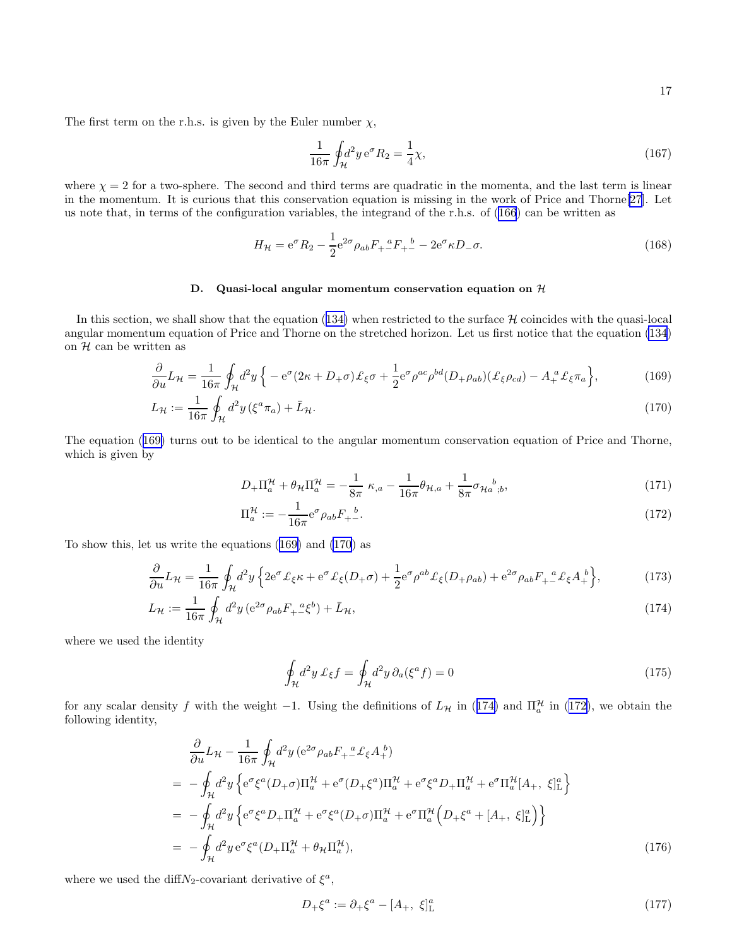<span id="page-16-0"></span>The first term on the r.h.s. is given by the Euler number  $\chi$ ,

$$
\frac{1}{16\pi} \oint_{\mathcal{H}} d^2 y \, \mathrm{e}^{\sigma} R_2 = \frac{1}{4} \chi,\tag{167}
$$

where  $\chi = 2$  for a two-sphere. The second and third terms are quadratic in the momenta, and the last term is linear in the momentum. It is curious that this conservation equation is missing in the work of Price and Thorne[\[27\]](#page-18-0). Let us note that, in terms of the configuration variables, the integrand of the r.h.s. of [\(166](#page-15-0)) can be written as

$$
H_{\mathcal{H}} = e^{\sigma} R_2 - \frac{1}{2} e^{2\sigma} \rho_{ab} F_{+}{}^a F_{+}{}^b - 2 e^{\sigma} \kappa D_{-} \sigma.
$$
 (168)

## D. Quasi-local angular momentum conservation equation on  $H$

Inthis section, we shall show that the equation ([134\)](#page-12-0) when restricted to the surface  $H$  coincides with the quasi-local angular momentum equation of Price and Thorne on the stretched horizon. Let us first notice that the equation [\(134](#page-12-0)) on  $H$  can be written as

$$
\frac{\partial}{\partial u}L_{\mathcal{H}} = \frac{1}{16\pi} \oint_{\mathcal{H}} d^2 y \left\{ -e^{\sigma} (2\kappa + D_+\sigma) \pounds_{\xi} \sigma + \frac{1}{2} e^{\sigma} \rho^{ac} \rho^{bd} (D_+\rho_{ab}) (\pounds_{\xi} \rho_{cd}) - A_+^a \pounds_{\xi} \pi_a \right\},\tag{169}
$$

$$
L_{\mathcal{H}} := \frac{1}{16\pi} \oint_{\mathcal{H}} d^2 y \left(\xi^a \pi_a\right) + \bar{L}_{\mathcal{H}}.\tag{170}
$$

The equation (169) turns out to be identical to the angular momentum conservation equation of Price and Thorne, which is given by

$$
D_{+} \Pi_{a}^{\mathcal{H}} + \theta_{\mathcal{H}} \Pi_{a}^{\mathcal{H}} = -\frac{1}{8\pi} \kappa_{,a} - \frac{1}{16\pi} \theta_{\mathcal{H},a} + \frac{1}{8\pi} \sigma_{\mathcal{H}_{a}^{b};b},
$$
\n(171)

$$
\Pi_a^{\mathcal{H}} := -\frac{1}{16\pi} e^{\sigma} \rho_{ab} F_{+}{}^{\underline{b}}.
$$
\n(172)

To show this, let us write the equations (169) and (170) as

$$
\frac{\partial}{\partial u}L_{\mathcal{H}} = \frac{1}{16\pi} \oint_{\mathcal{H}} d^2 y \left\{ 2e^{\sigma} \mathcal{L}_{\xi} \kappa + e^{\sigma} \mathcal{L}_{\xi} (D_+ \sigma) + \frac{1}{2} e^{\sigma} \rho^{ab} \mathcal{L}_{\xi} (D_+ \rho_{ab}) + e^{2\sigma} \rho_{ab} F_{+-}^a \mathcal{L}_{\xi} A_+^b \right\},\tag{173}
$$

$$
L_{\mathcal{H}} := \frac{1}{16\pi} \oint_{\mathcal{H}} d^2 y \left( e^{2\sigma} \rho_{ab} F_{+}^{\ \ a} \xi^b \right) + \bar{L}_{\mathcal{H}},\tag{174}
$$

where we used the identity

$$
\oint_{\mathcal{H}} d^2 y \,\mathcal{L}_{\xi} f = \oint_{\mathcal{H}} d^2 y \,\partial_a (\xi^a f) = 0
$$
\n(175)

for any scalar density f with the weight -1. Using the definitions of  $L_{\mathcal{H}}$  in (174) and  $\Pi_a^{\mathcal{H}}$  in (172), we obtain the following identity,

$$
\frac{\partial}{\partial u} L_{\mathcal{H}} - \frac{1}{16\pi} \oint_{\mathcal{H}} d^2 y \left( e^{2\sigma} \rho_{ab} F_{+}{}^a_x \ell_{\xi} A_+{}^b \right) \n= - \oint_{\mathcal{H}} d^2 y \left\{ e^{\sigma} \xi^a (D_+ \sigma) \Pi_a^{\mathcal{H}} + e^{\sigma} (D_+ \xi^a) \Pi_a^{\mathcal{H}} + e^{\sigma} \xi^a D_+ \Pi_a^{\mathcal{H}} + e^{\sigma} \Pi_a^{\mathcal{H}} [A_+, \xi]_L^a \right\} \n= - \oint_{\mathcal{H}} d^2 y \left\{ e^{\sigma} \xi^a D_+ \Pi_a^{\mathcal{H}} + e^{\sigma} \xi^a (D_+ \sigma) \Pi_a^{\mathcal{H}} + e^{\sigma} \Pi_a^{\mathcal{H}} \left( D_+ \xi^a + [A_+, \xi]_L^a \right) \right\} \n= - \oint_{\mathcal{H}} d^2 y \, e^{\sigma} \xi^a (D_+ \Pi_a^{\mathcal{H}} + \theta_{\mathcal{H}} \Pi_a^{\mathcal{H}}),
$$
\n(176)

where we used the diff $N_2$ -covariant derivative of  $\xi^a$ ,

$$
D_{+}\xi^{a} := \partial_{+}\xi^{a} - [A_{+}, \xi]_{\mathcal{L}}^{a}
$$
\n(177)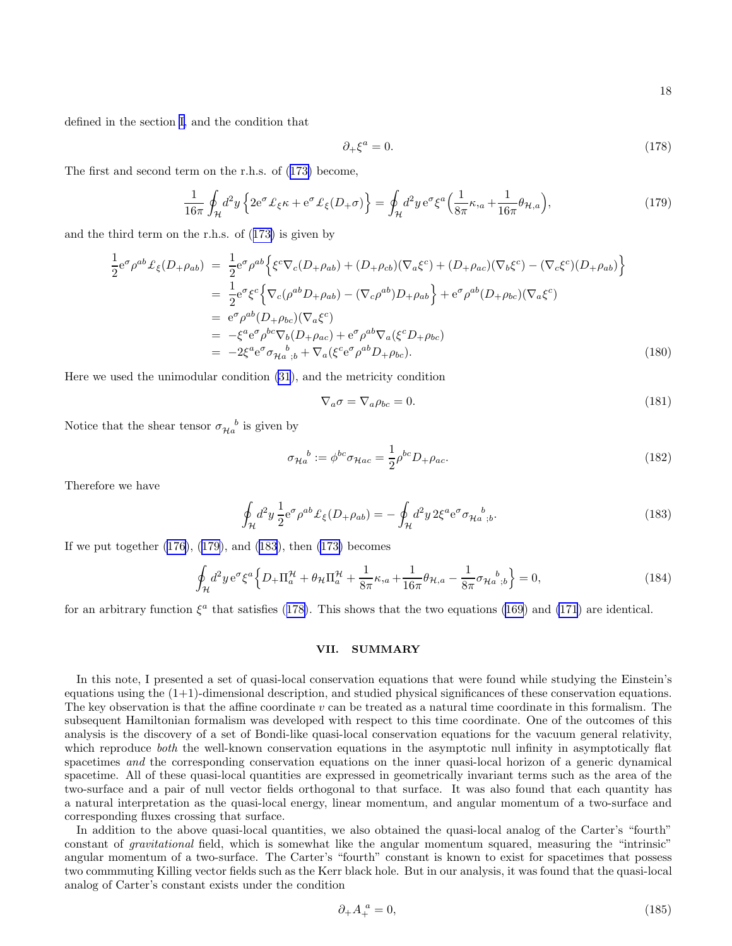defined in the section [I,](#page-0-0) and the condition that

$$
\partial_+\xi^a = 0. \tag{178}
$$

The first and second term on the r.h.s. of([173\)](#page-16-0) become,

$$
\frac{1}{16\pi} \oint_{\mathcal{H}} d^2 y \left\{ 2e^{\sigma} \mathcal{L}_{\xi} \kappa + e^{\sigma} \mathcal{L}_{\xi} (D_+ \sigma) \right\} = \oint_{\mathcal{H}} d^2 y \, e^{\sigma} \xi^a \Big( \frac{1}{8\pi} \kappa_{,a} + \frac{1}{16\pi} \theta_{\mathcal{H},a} \Big),\tag{179}
$$

and the third term on the r.h.s. of([173\)](#page-16-0) is given by

$$
\frac{1}{2}e^{\sigma}\rho^{ab}\pounds_{\xi}(D_{+}\rho_{ab}) = \frac{1}{2}e^{\sigma}\rho^{ab}\Big\{\xi^{c}\nabla_{c}(D_{+}\rho_{ab}) + (D_{+}\rho_{cb})(\nabla_{a}\xi^{c}) + (D_{+}\rho_{ac})(\nabla_{b}\xi^{c}) - (\nabla_{c}\xi^{c})(D_{+}\rho_{ab})\Big\}
$$
\n
$$
= \frac{1}{2}e^{\sigma}\xi^{c}\Big\{\nabla_{c}(\rho^{ab}D_{+}\rho_{ab}) - (\nabla_{c}\rho^{ab})D_{+}\rho_{ab}\Big\} + e^{\sigma}\rho^{ab}(D_{+}\rho_{bc})(\nabla_{a}\xi^{c})
$$
\n
$$
= e^{\sigma}\rho^{ab}(D_{+}\rho_{bc})(\nabla_{a}\xi^{c})
$$
\n
$$
= -\xi^{a}e^{\sigma}\rho^{bc}\nabla_{b}(D_{+}\rho_{ac}) + e^{\sigma}\rho^{ab}\nabla_{a}(\xi^{c}D_{+}\rho_{bc})
$$
\n
$$
= -2\xi^{a}e^{\sigma}\sigma_{Ha\;;b} + \nabla_{a}(\xi^{c}e^{\sigma}\rho^{ab}D_{+}\rho_{bc}). \tag{180}
$$

∂+ξ

Here we used the unimodular condition [\(31](#page-3-0)), and the metricity condition

$$
\nabla_a \sigma = \nabla_a \rho_{bc} = 0. \tag{181}
$$

Notice that the shear tensor  $\sigma_{\mathcal{H}_a}{}^b$  is given by

$$
\sigma_{\mathcal{H}_a}{}^b := \phi^{bc} \sigma_{\mathcal{H}ac} = \frac{1}{2} \rho^{bc} D_{+} \rho_{ac}.
$$
\n(182)

Therefore we have

$$
\oint_{\mathcal{H}} d^2 y \, \frac{1}{2} e^{\sigma} \rho^{ab} \mathcal{L}_{\xi}(D_{+} \rho_{ab}) = -\oint_{\mathcal{H}} d^2 y \, 2 \xi^a e^{\sigma} \sigma_{\mathcal{H}_a}{}^{b}{}_{;b}.
$$
\n(183)

If we put together [\(176](#page-16-0)), (179), and (183), then [\(173\)](#page-16-0) becomes

$$
\oint_{\mathcal{H}} d^2 y \, \mathrm{e}^{\sigma} \xi^a \Big\{ D_+ \Pi_a^{\mathcal{H}} + \theta_{\mathcal{H}} \Pi_a^{\mathcal{H}} + \frac{1}{8\pi} \kappa_{,a} + \frac{1}{16\pi} \theta_{\mathcal{H},a} - \frac{1}{8\pi} \sigma_{\mathcal{H}a}{}_{;b}^b \Big\} = 0, \tag{184}
$$

for an arbitrary function  $\xi^a$  that satisfies (178). This shows that the two equations [\(169](#page-16-0)) and [\(171](#page-16-0)) are identical.

## VII. SUMMARY

In this note, I presented a set of quasi-local conservation equations that were found while studying the Einstein's equations using the  $(1+1)$ -dimensional description, and studied physical significances of these conservation equations. The key observation is that the affine coordinate  $v$  can be treated as a natural time coordinate in this formalism. The subsequent Hamiltonian formalism was developed with respect to this time coordinate. One of the outcomes of this analysis is the discovery of a set of Bondi-like quasi-local conservation equations for the vacuum general relativity, which reproduce *both* the well-known conservation equations in the asymptotic null infinity in asymptotically flat spacetimes and the corresponding conservation equations on the inner quasi-local horizon of a generic dynamical spacetime. All of these quasi-local quantities are expressed in geometrically invariant terms such as the area of the two-surface and a pair of null vector fields orthogonal to that surface. It was also found that each quantity has a natural interpretation as the quasi-local energy, linear momentum, and angular momentum of a two-surface and corresponding fluxes crossing that surface.

In addition to the above quasi-local quantities, we also obtained the quasi-local analog of the Carter's "fourth" constant of gravitational field, which is somewhat like the angular momentum squared, measuring the "intrinsic" angular momentum of a two-surface. The Carter's "fourth" constant is known to exist for spacetimes that possess two commmuting Killing vector fields such as the Kerr black hole. But in our analysis, it was found that the quasi-local analog of Carter's constant exists under the condition

$$
\partial_+ A_+^a = 0,\tag{185}
$$